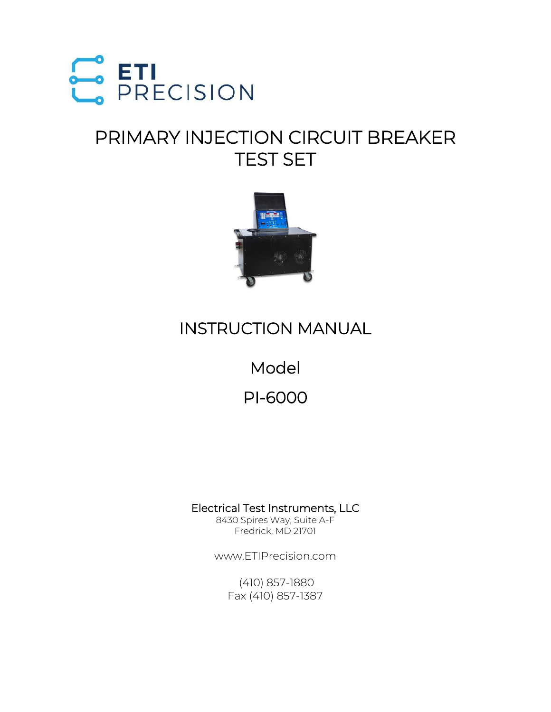

# PRIMARY INJECTION CIRCUIT BREAKER TEST SET



# INSTRUCTION MANUAL

Model PI-6000

Electrical Test Instruments, LLC

8430 Spires Way, Suite A-F Fredrick, MD 21701

www.ETIPrecision.com

(410) 857-1880 Fax (410) 857-1387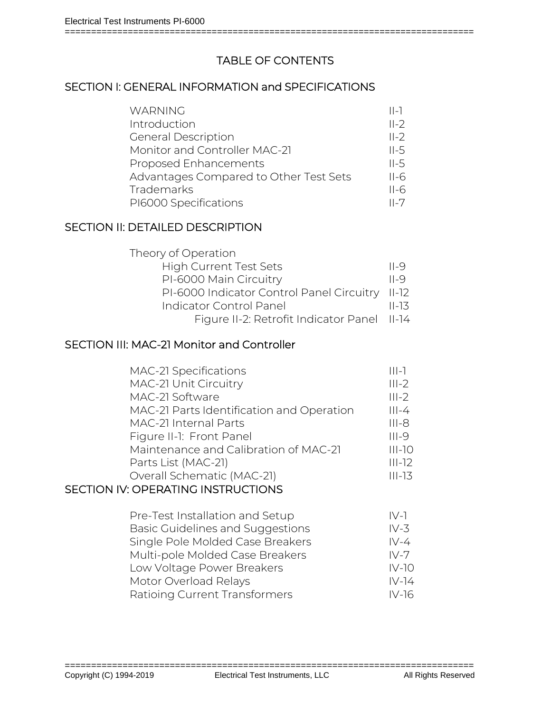### TABLE OF CONTENTS

==============================================================================

#### SECTION I: GENERAL INFORMATION and SPECIFICATIONS

| <b>WARNING</b>                         | $  -1  $ |
|----------------------------------------|----------|
| Introduction                           | $  -2$   |
| <b>General Description</b>             | $II-2$   |
| Monitor and Controller MAC-21          | $II-5$   |
| Proposed Enhancements                  | $II-5$   |
| Advantages Compared to Other Test Sets | $II-6$   |
| Trademarks                             | $II-6$   |
| PI6000 Specifications                  |          |

#### SECTION II: DETAILED DESCRIPTION

| Theory of Operation                             |           |
|-------------------------------------------------|-----------|
| <b>High Current Test Sets</b>                   | $11-9$    |
| PI-6000 Main Circuitry                          | $II-9$    |
| PI-6000 Indicator Control Panel Circuitry II-12 |           |
| Indicator Control Panel                         | $11 - 13$ |
| Figure II-2: Retrofit Indicator Panel II-14     |           |

### SECTION III: MAC-21 Monitor and Controller

| MAC-21 Specifications                     | $   $ -1  |
|-------------------------------------------|-----------|
| MAC-21 Unit Circuitry                     | $III - 2$ |
| MAC-21 Software                           | $III - 2$ |
| MAC-21 Parts Identification and Operation | $   $ -4  |
| MAC-21 Internal Parts                     | $III - 8$ |
| Figure II-1: Front Panel                  | $III-9$   |
| Maintenance and Calibration of MAC-21     | $III-70$  |
| Parts List (MAC-21)                       | $III-12$  |
| Overall Schematic (MAC-21)                | III-13    |

### SECTION IV: OPERATING INSTRUCTIONS

| Pre-Test Installation and Setup      | $IV-1$  |
|--------------------------------------|---------|
| Basic Guidelines and Suggestions     | $IV-3$  |
| Single Pole Molded Case Breakers     | $IV-4$  |
| Multi-pole Molded Case Breakers      | $IV-7$  |
| Low Voltage Power Breakers           | $IV-10$ |
| Motor Overload Relays                | $IV-74$ |
| <b>Ratioing Current Transformers</b> | $IV-76$ |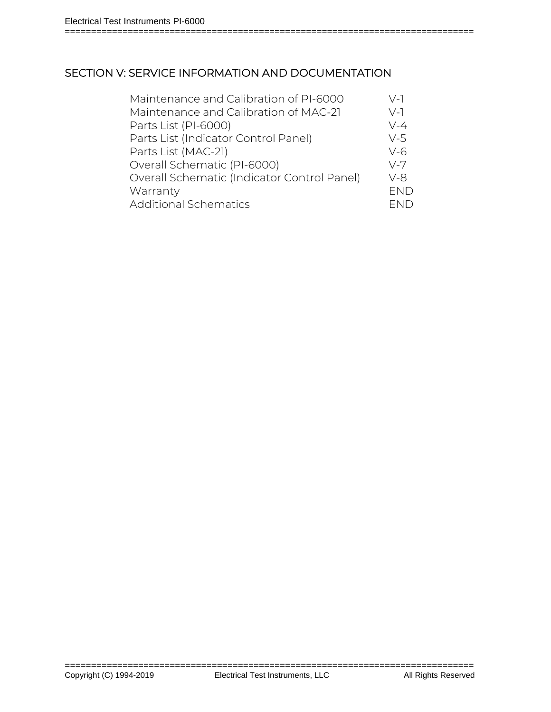### SECTION V: SERVICE INFORMATION AND DOCUMENTATION

| Maintenance and Calibration of PI-6000      | $V-I$      |
|---------------------------------------------|------------|
| Maintenance and Calibration of MAC-21       | $V-I$      |
| Parts List (PI-6000)                        | $V - 4$    |
| Parts List (Indicator Control Panel)        | $V-5$      |
| Parts List (MAC-21)                         | $V-6$      |
| Overall Schematic (PI-6000)                 | $V-7$      |
| Overall Schematic (Indicator Control Panel) | $V - 8$    |
| Warranty                                    | <b>END</b> |
| <b>Additional Schematics</b>                | <b>FND</b> |

================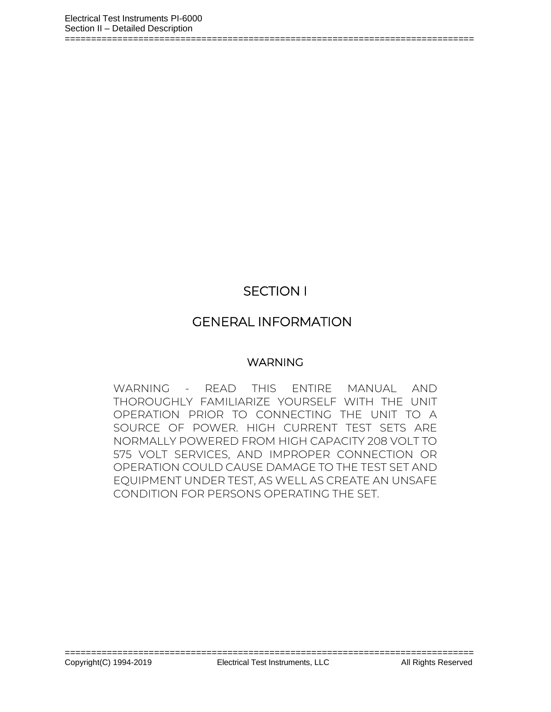# SECTION I

==============================================================================

# GENERAL INFORMATION

# **WARNING**

WARNING - READ THIS ENTIRE MANUAL AND THOROUGHLY FAMILIARIZE YOURSELF WITH THE UNIT OPERATION PRIOR TO CONNECTING THE UNIT TO A SOURCE OF POWER. HIGH CURRENT TEST SETS ARE NORMALLY POWERED FROM HIGH CAPACITY 208 VOLT TO 575 VOLT SERVICES, AND IMPROPER CONNECTION OR OPERATION COULD CAUSE DAMAGE TO THE TEST SET AND EQUIPMENT UNDER TEST, AS WELL AS CREATE AN UNSAFE CONDITION FOR PERSONS OPERATING THE SET.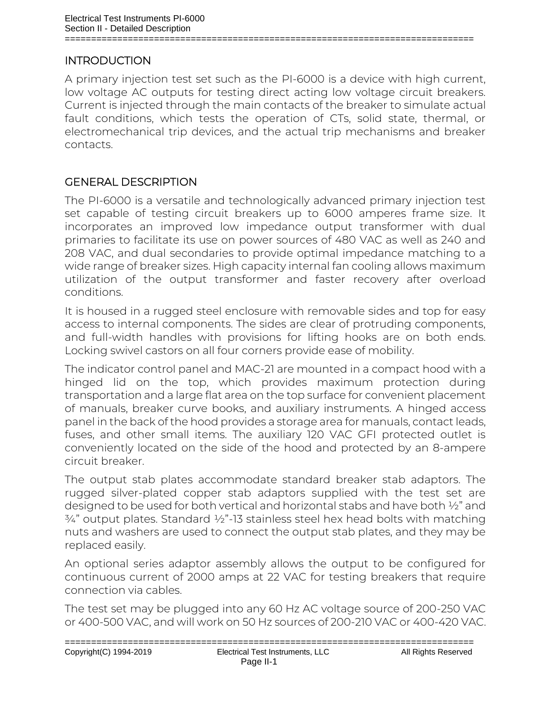### INTRODUCTION

A primary injection test set such as the PI-6000 is a device with high current, low voltage AC outputs for testing direct acting low voltage circuit breakers. Current is injected through the main contacts of the breaker to simulate actual fault conditions, which tests the operation of CTs, solid state, thermal, or electromechanical trip devices, and the actual trip mechanisms and breaker contacts.

# GENERAL DESCRIPTION

The PI-6000 is a versatile and technologically advanced primary injection test set capable of testing circuit breakers up to 6000 amperes frame size. It incorporates an improved low impedance output transformer with dual primaries to facilitate its use on power sources of 480 VAC as well as 240 and 208 VAC, and dual secondaries to provide optimal impedance matching to a wide range of breaker sizes. High capacity internal fan cooling allows maximum utilization of the output transformer and faster recovery after overload conditions.

It is housed in a rugged steel enclosure with removable sides and top for easy access to internal components. The sides are clear of protruding components, and full-width handles with provisions for lifting hooks are on both ends. Locking swivel castors on all four corners provide ease of mobility.

The indicator control panel and MAC-21 are mounted in a compact hood with a hinged lid on the top, which provides maximum protection during transportation and a large flat area on the top surface for convenient placement of manuals, breaker curve books, and auxiliary instruments. A hinged access panel in the back of the hood provides a storage area for manuals, contact leads, fuses, and other small items. The auxiliary 120 VAC GFI protected outlet is conveniently located on the side of the hood and protected by an 8-ampere circuit breaker.

The output stab plates accommodate standard breaker stab adaptors. The rugged silver-plated copper stab adaptors supplied with the test set are designed to be used for both vertical and horizontal stabs and have both ½" and  $\frac{3}{4}$ " output plates. Standard  $\frac{1}{2}$ "-13 stainless steel hex head bolts with matching nuts and washers are used to connect the output stab plates, and they may be replaced easily.

An optional series adaptor assembly allows the output to be configured for continuous current of 2000 amps at 22 VAC for testing breakers that require connection via cables.

The test set may be plugged into any 60 Hz AC voltage source of 200-250 VAC or 400-500 VAC, and will work on 50 Hz sources of 200-210 VAC or 400-420 VAC.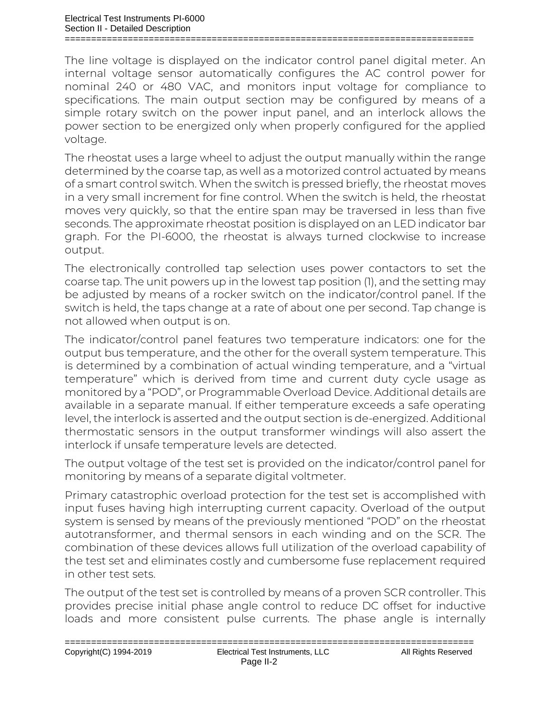The line voltage is displayed on the indicator control panel digital meter. An internal voltage sensor automatically configures the AC control power for nominal 240 or 480 VAC, and monitors input voltage for compliance to specifications. The main output section may be configured by means of a simple rotary switch on the power input panel, and an interlock allows the power section to be energized only when properly configured for the applied voltage.

The rheostat uses a large wheel to adjust the output manually within the range determined by the coarse tap, as well as a motorized control actuated by means of a smart control switch. When the switch is pressed briefly, the rheostat moves in a very small increment for fine control. When the switch is held, the rheostat moves very quickly, so that the entire span may be traversed in less than five seconds. The approximate rheostat position is displayed on an LED indicator bar graph. For the PI-6000, the rheostat is always turned clockwise to increase output.

The electronically controlled tap selection uses power contactors to set the coarse tap. The unit powers up in the lowest tap position (1), and the setting may be adjusted by means of a rocker switch on the indicator/control panel. If the switch is held, the taps change at a rate of about one per second. Tap change is not allowed when output is on.

The indicator/control panel features two temperature indicators: one for the output bus temperature, and the other for the overall system temperature. This is determined by a combination of actual winding temperature, and a "virtual temperature" which is derived from time and current duty cycle usage as monitored by a "POD", or Programmable Overload Device. Additional details are available in a separate manual. If either temperature exceeds a safe operating level, the interlock is asserted and the output section is de-energized. Additional thermostatic sensors in the output transformer windings will also assert the interlock if unsafe temperature levels are detected.

The output voltage of the test set is provided on the indicator/control panel for monitoring by means of a separate digital voltmeter.

Primary catastrophic overload protection for the test set is accomplished with input fuses having high interrupting current capacity. Overload of the output system is sensed by means of the previously mentioned "POD" on the rheostat autotransformer, and thermal sensors in each winding and on the SCR. The combination of these devices allows full utilization of the overload capability of the test set and eliminates costly and cumbersome fuse replacement required in other test sets.

The output of the test set is controlled by means of a proven SCR controller. This provides precise initial phase angle control to reduce DC offset for inductive loads and more consistent pulse currents. The phase angle is internally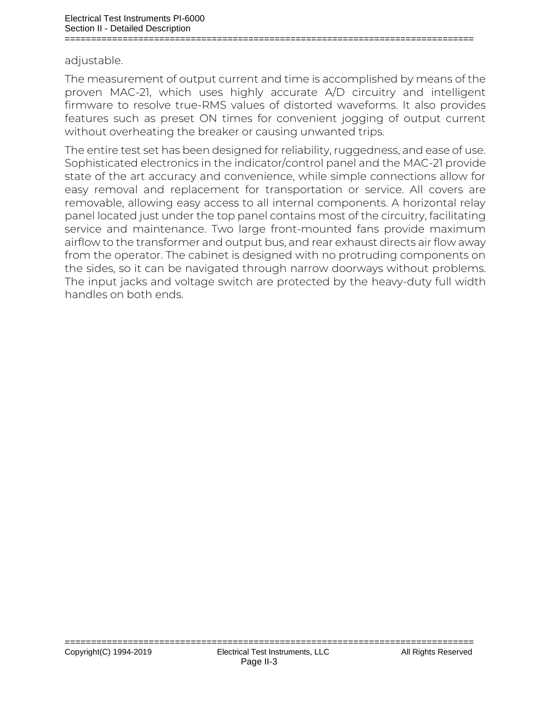#### adjustable.

The measurement of output current and time is accomplished by means of the proven MAC-21, which uses highly accurate A/D circuitry and intelligent firmware to resolve true-RMS values of distorted waveforms. It also provides features such as preset ON times for convenient jogging of output current without overheating the breaker or causing unwanted trips.

The entire test set has been designed for reliability, ruggedness, and ease of use. Sophisticated electronics in the indicator/control panel and the MAC-21 provide state of the art accuracy and convenience, while simple connections allow for easy removal and replacement for transportation or service. All covers are removable, allowing easy access to all internal components. A horizontal relay panel located just under the top panel contains most of the circuitry, facilitating service and maintenance. Two large front-mounted fans provide maximum airflow to the transformer and output bus, and rear exhaust directs air flow away from the operator. The cabinet is designed with no protruding components on the sides, so it can be navigated through narrow doorways without problems. The input jacks and voltage switch are protected by the heavy-duty full width handles on both ends.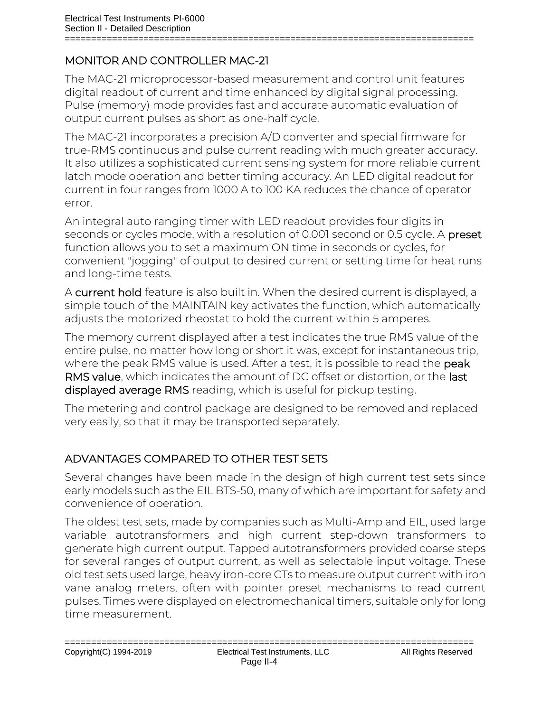# MONITOR AND CONTROLLER MAC-21

The MAC-21 microprocessor-based measurement and control unit features digital readout of current and time enhanced by digital signal processing. Pulse (memory) mode provides fast and accurate automatic evaluation of output current pulses as short as one-half cycle.

The MAC-21 incorporates a precision A/D converter and special firmware for true-RMS continuous and pulse current reading with much greater accuracy. It also utilizes a sophisticated current sensing system for more reliable current latch mode operation and better timing accuracy. An LED digital readout for current in four ranges from 1000 A to 100 KA reduces the chance of operator error.

An integral auto ranging timer with LED readout provides four digits in seconds or cycles mode, with a resolution of 0.001 second or 0.5 cycle. A preset function allows you to set a maximum ON time in seconds or cycles, for convenient "jogging" of output to desired current or setting time for heat runs and long-time tests.

A current hold feature is also built in. When the desired current is displayed, a simple touch of the MAINTAIN key activates the function, which automatically adjusts the motorized rheostat to hold the current within 5 amperes.

The memory current displayed after a test indicates the true RMS value of the entire pulse, no matter how long or short it was, except for instantaneous trip, where the peak RMS value is used. After a test, it is possible to read the **peak** RMS value, which indicates the amount of DC offset or distortion, or the last displayed average RMS reading, which is useful for pickup testing.

The metering and control package are designed to be removed and replaced very easily, so that it may be transported separately.

# ADVANTAGES COMPARED TO OTHER TEST SETS

Several changes have been made in the design of high current test sets since early models such as the EIL BTS-50, many of which are important for safety and convenience of operation.

The oldest test sets, made by companies such as Multi-Amp and EIL, used large variable autotransformers and high current step-down transformers to generate high current output. Tapped autotransformers provided coarse steps for several ranges of output current, as well as selectable input voltage. These old test sets used large, heavy iron-core CTs to measure output current with iron vane analog meters, often with pointer preset mechanisms to read current pulses. Times were displayed on electromechanical timers, suitable only for long time measurement.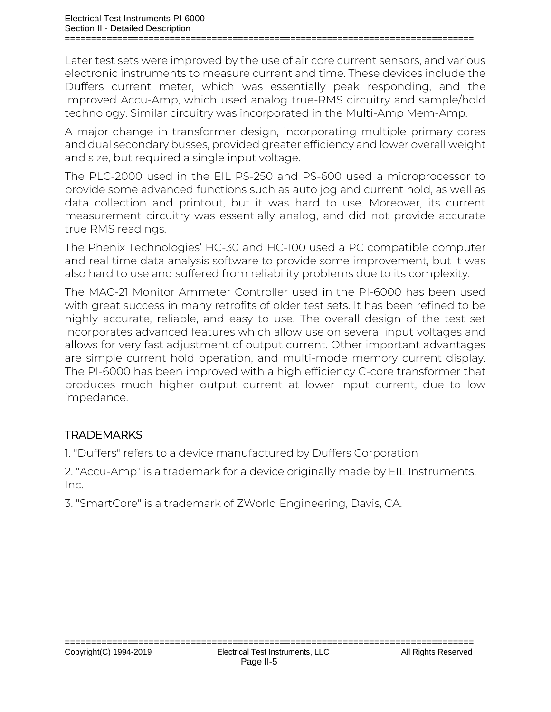Later test sets were improved by the use of air core current sensors, and various electronic instruments to measure current and time. These devices include the Duffers current meter, which was essentially peak responding, and the improved Accu-Amp, which used analog true-RMS circuitry and sample/hold technology. Similar circuitry was incorporated in the Multi-Amp Mem-Amp.

A major change in transformer design, incorporating multiple primary cores and dual secondary busses, provided greater efficiency and lower overall weight and size, but required a single input voltage.

The PLC-2000 used in the EIL PS-250 and PS-600 used a microprocessor to provide some advanced functions such as auto jog and current hold, as well as data collection and printout, but it was hard to use. Moreover, its current measurement circuitry was essentially analog, and did not provide accurate true RMS readings.

The Phenix Technologies' HC-30 and HC-100 used a PC compatible computer and real time data analysis software to provide some improvement, but it was also hard to use and suffered from reliability problems due to its complexity.

The MAC-21 Monitor Ammeter Controller used in the PI-6000 has been used with great success in many retrofits of older test sets. It has been refined to be highly accurate, reliable, and easy to use. The overall design of the test set incorporates advanced features which allow use on several input voltages and allows for very fast adjustment of output current. Other important advantages are simple current hold operation, and multi-mode memory current display. The PI-6000 has been improved with a high efficiency C-core transformer that produces much higher output current at lower input current, due to low impedance.

# **TRADEMARKS**

1. "Duffers" refers to a device manufactured by Duffers Corporation

2. "Accu-Amp" is a trademark for a device originally made by EIL Instruments, Inc.

3. "SmartCore" is a trademark of ZWorld Engineering, Davis, CA.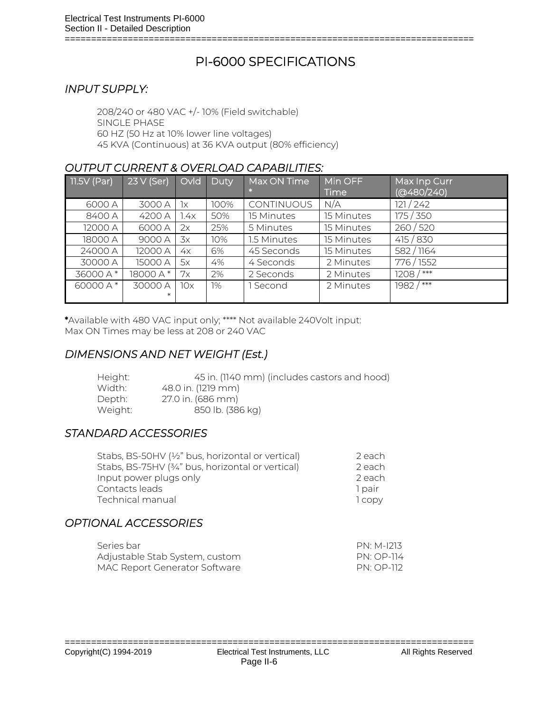==============================================================================

# PI-6000 SPECIFICATIONS

### *INPUT SUPPLY:*

208/240 or 480 VAC +/- 10% (Field switchable) SINGLE PHASE 60 HZ (50 Hz at 10% lower line voltages) 45 KVA (Continuous) at 36 KVA output (80% efficiency)

#### *OUTPUT CURRENT & OVERLOAD CAPABILITIES:*

| 11.5V (Par) | $23V$ (Ser)       | Ovld | Duty | Max ON Time       | Min OFF<br><b>Time</b> | Max Inp Curr<br>(Q0480/240) |
|-------------|-------------------|------|------|-------------------|------------------------|-----------------------------|
| 6000 A      | 3000 A            | 1x   | 100% | <b>CONTINUOUS</b> | N/A                    | 121/242                     |
| 8400 A      | 4200 A            | 7.4x | 50%  | 15 Minutes        | 15 Minutes             | 175 / 350                   |
| 12000 A     | 6000 A            | 2x   | 25%  | 5 Minutes         | 15 Minutes             | 260/520                     |
| 18000 A     | 9000 A            | 3x   | 10%  | 1.5 Minutes       | 15 Minutes             | 415/830                     |
| 24000 A     | 12000 A           | 4x   | 6%   | 45 Seconds        | 15 Minutes             | 582/1164                    |
| 30000 A     | 15000 A           | 5x   | 4%   | 4 Seconds         | 2 Minutes              | 776/1552                    |
| 36000 A*    | 18000 A*          | 7x   | 2%   | 2 Seconds         | 2 Minutes              | ***<br>1208/                |
| 60000 A*    | 30000 A<br>$\ast$ | 10x  | 1%   | 1 Second          | 2 Minutes              | $1982/***$                  |

\*Available with 480 VAC input only; \*\*\*\* Not available 240Volt input: Max ON Times may be less at 208 or 240 VAC

#### *DIMENSIONS AND NET WEIGHT (Est.)*

| Height: | 45 in. (1140 mm) (includes castors and hood) |
|---------|----------------------------------------------|
| Width:  | 48.0 in. (1219 mm)                           |
| Depth:  | 27.0 in. (686 mm)                            |
| Weight: | 850 lb. (386 kg)                             |

#### *STANDARD ACCESSORIES*

| Stabs, BS-50HV (1/2" bus, horizontal or vertical) | 2 each  |
|---------------------------------------------------|---------|
| Stabs, BS-75HV (3/4" bus, horizontal or vertical) | 2 each  |
| Input power plugs only                            | -2 each |
| Contacts leads                                    | 1 pair  |
| Technical manual                                  | 1 copy  |

#### *OPTIONAL ACCESSORIES*

| Series bar                     | PN: M-1213   |
|--------------------------------|--------------|
| Adjustable Stab System, custom | PN: OP-114   |
| MAC Report Generator Software  | $PN:$ OP-112 |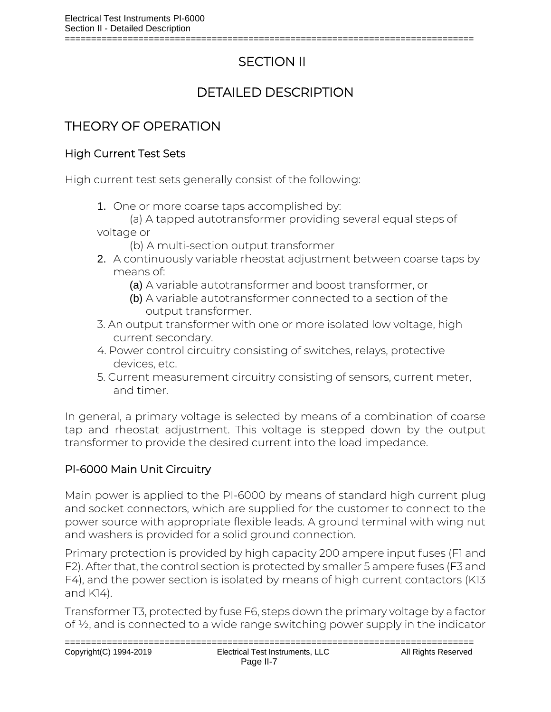# SECTION II

# DETAILED DESCRIPTION

# THEORY OF OPERATION

### High Current Test Sets

High current test sets generally consist of the following:

1. One or more coarse taps accomplished by:

(a) A tapped autotransformer providing several equal steps of voltage or

(b) A multi-section output transformer

2. A continuously variable rheostat adjustment between coarse taps by means of:

(a) A variable autotransformer and boost transformer, or

- (b) A variable autotransformer connected to a section of the output transformer.
- 3. An output transformer with one or more isolated low voltage, high current secondary.
- 4. Power control circuitry consisting of switches, relays, protective devices, etc.
- 5. Current measurement circuitry consisting of sensors, current meter, and timer.

In general, a primary voltage is selected by means of a combination of coarse tap and rheostat adjustment. This voltage is stepped down by the output transformer to provide the desired current into the load impedance.

# PI-6000 Main Unit Circuitry

Main power is applied to the PI-6000 by means of standard high current plug and socket connectors, which are supplied for the customer to connect to the power source with appropriate flexible leads. A ground terminal with wing nut and washers is provided for a solid ground connection.

Primary protection is provided by high capacity 200 ampere input fuses (F1 and F2). After that, the control section is protected by smaller 5 ampere fuses (F3 and F4), and the power section is isolated by means of high current contactors (K13 and K14).

Transformer T3, protected by fuse F6, steps down the primary voltage by a factor of ½, and is connected to a wide range switching power supply in the indicator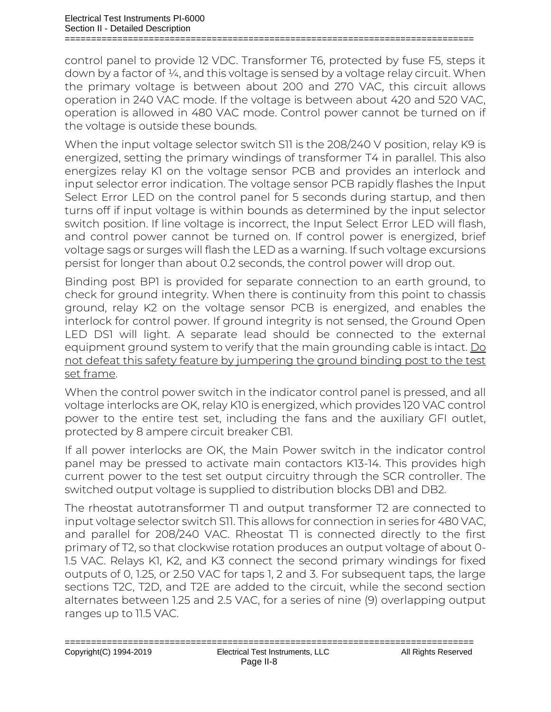control panel to provide 12 VDC. Transformer T6, protected by fuse F5, steps it down by a factor of ¼, and this voltage is sensed by a voltage relay circuit. When the primary voltage is between about 200 and 270 VAC, this circuit allows operation in 240 VAC mode. If the voltage is between about 420 and 520 VAC, operation is allowed in 480 VAC mode. Control power cannot be turned on if the voltage is outside these bounds.

When the input voltage selector switch S11 is the 208/240 V position, relay K9 is energized, setting the primary windings of transformer T4 in parallel. This also energizes relay K1 on the voltage sensor PCB and provides an interlock and input selector error indication. The voltage sensor PCB rapidly flashes the Input Select Error LED on the control panel for 5 seconds during startup, and then turns off if input voltage is within bounds as determined by the input selector switch position. If line voltage is incorrect, the Input Select Error LED will flash, and control power cannot be turned on. If control power is energized, brief voltage sags or surges will flash the LED as a warning. If such voltage excursions persist for longer than about 0.2 seconds, the control power will drop out.

Binding post BP1 is provided for separate connection to an earth ground, to check for ground integrity. When there is continuity from this point to chassis ground, relay K2 on the voltage sensor PCB is energized, and enables the interlock for control power. If ground integrity is not sensed, the Ground Open LED DS1 will light. A separate lead should be connected to the external equipment ground system to verify that the main grounding cable is intact. Do not defeat this safety feature by jumpering the ground binding post to the test set frame.

When the control power switch in the indicator control panel is pressed, and all voltage interlocks are OK, relay K10 is energized, which provides 120 VAC control power to the entire test set, including the fans and the auxiliary GFI outlet, protected by 8 ampere circuit breaker CB1.

If all power interlocks are OK, the Main Power switch in the indicator control panel may be pressed to activate main contactors K13-14. This provides high current power to the test set output circuitry through the SCR controller. The switched output voltage is supplied to distribution blocks DB1 and DB2.

The rheostat autotransformer T1 and output transformer T2 are connected to input voltage selector switch S11. This allows for connection in series for 480 VAC, and parallel for  $208/240$  VAC. Rheostat  $\Pi$  is connected directly to the first primary of T2, so that clockwise rotation produces an output voltage of about 0- 1.5 VAC. Relays K1, K2, and K3 connect the second primary windings for fixed outputs of 0, 1.25, or 2.50 VAC for taps 1, 2 and 3. For subsequent taps, the large sections T2C, T2D, and T2E are added to the circuit, while the second section alternates between 1.25 and 2.5 VAC, for a series of nine (9) overlapping output ranges up to 11.5 VAC.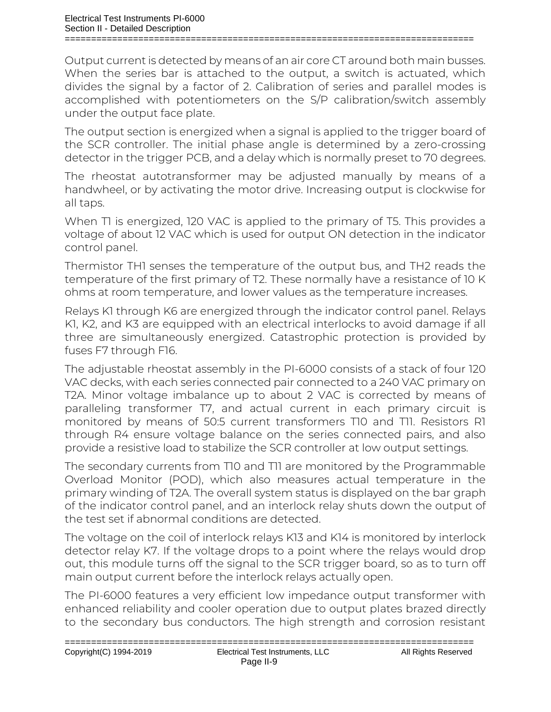Output current is detected by means of an air core CT around both main busses. When the series bar is attached to the output, a switch is actuated, which divides the signal by a factor of 2. Calibration of series and parallel modes is accomplished with potentiometers on the S/P calibration/switch assembly under the output face plate.

The output section is energized when a signal is applied to the trigger board of the SCR controller. The initial phase angle is determined by a zero-crossing detector in the trigger PCB, and a delay which is normally preset to 70 degrees.

The rheostat autotransformer may be adjusted manually by means of a handwheel, or by activating the motor drive. Increasing output is clockwise for all taps.

When TI is energized, 120 VAC is applied to the primary of T5. This provides a voltage of about 12 VAC which is used for output ON detection in the indicator control panel.

Thermistor TH1 senses the temperature of the output bus, and TH2 reads the temperature of the first primary of T2. These normally have a resistance of 10 K ohms at room temperature, and lower values as the temperature increases.

Relays K1 through K6 are energized through the indicator control panel. Relays K1, K2, and K3 are equipped with an electrical interlocks to avoid damage if all three are simultaneously energized. Catastrophic protection is provided by fuses F7 through F16.

The adjustable rheostat assembly in the PI-6000 consists of a stack of four 120 VAC decks, with each series connected pair connected to a 240 VAC primary on T2A. Minor voltage imbalance up to about 2 VAC is corrected by means of paralleling transformer T7, and actual current in each primary circuit is monitored by means of 50:5 current transformers TIO and TII. Resistors RI through R4 ensure voltage balance on the series connected pairs, and also provide a resistive load to stabilize the SCR controller at low output settings.

The secondary currents from T10 and T11 are monitored by the Programmable Overload Monitor (POD), which also measures actual temperature in the primary winding of T2A. The overall system status is displayed on the bar graph of the indicator control panel, and an interlock relay shuts down the output of the test set if abnormal conditions are detected.

The voltage on the coil of interlock relays K13 and K14 is monitored by interlock detector relay K7. If the voltage drops to a point where the relays would drop out, this module turns off the signal to the SCR trigger board, so as to turn off main output current before the interlock relays actually open.

The PI-6000 features a very efficient low impedance output transformer with enhanced reliability and cooler operation due to output plates brazed directly to the secondary bus conductors. The high strength and corrosion resistant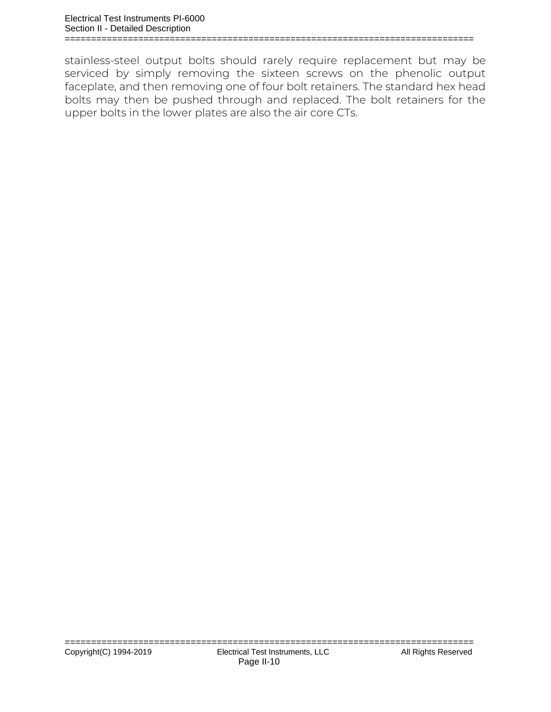stainless-steel output bolts should rarely require replacement but may be serviced by simply removing the sixteen screws on the phenolic output faceplate, and then removing one of four bolt retainers. The standard hex head bolts may then be pushed through and replaced. The bolt retainers for the upper bolts in the lower plates are also the air core CTs.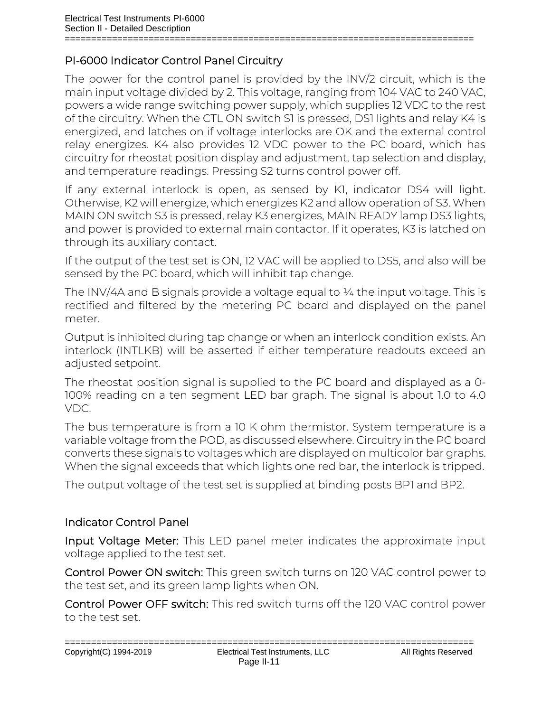# PI-6000 Indicator Control Panel Circuitry

The power for the control panel is provided by the INV/2 circuit, which is the main input voltage divided by 2. This voltage, ranging from 104 VAC to 240 VAC, powers a wide range switching power supply, which supplies 12 VDC to the rest of the circuitry. When the CTL ON switch S1 is pressed, DS1 lights and relay K4 is energized, and latches on if voltage interlocks are OK and the external control relay energizes. K4 also provides 12 VDC power to the PC board, which has circuitry for rheostat position display and adjustment, tap selection and display, and temperature readings. Pressing S2 turns control power off.

If any external interlock is open, as sensed by K1, indicator DS4 will light. Otherwise, K2 will energize, which energizes K2 and allow operation of S3. When MAIN ON switch S3 is pressed, relay K3 energizes, MAIN READY lamp DS3 lights, and power is provided to external main contactor. If it operates, K3 is latched on through its auxiliary contact.

If the output of the test set is ON, 12 VAC will be applied to DS5, and also will be sensed by the PC board, which will inhibit tap change.

The INV/4A and B signals provide a voltage equal to  $\frac{1}{4}$  the input voltage. This is rectified and filtered by the metering PC board and displayed on the panel meter.

Output is inhibited during tap change or when an interlock condition exists. An interlock (INTLKB) will be asserted if either temperature readouts exceed an adjusted setpoint.

The rheostat position signal is supplied to the PC board and displayed as a 0- 100% reading on a ten segment LED bar graph. The signal is about 1.0 to 4.0 VDC.

The bus temperature is from a 10 K ohm thermistor. System temperature is a variable voltage from the POD, as discussed elsewhere. Circuitry in the PC board converts these signals to voltages which are displayed on multicolor bar graphs. When the signal exceeds that which lights one red bar, the interlock is tripped.

The output voltage of the test set is supplied at binding posts BP1 and BP2.

### Indicator Control Panel

Input Voltage Meter: This LED panel meter indicates the approximate input voltage applied to the test set.

Control Power ON switch: This green switch turns on 120 VAC control power to the test set, and its green lamp lights when ON.

Control Power OFF switch: This red switch turns off the 120 VAC control power to the test set.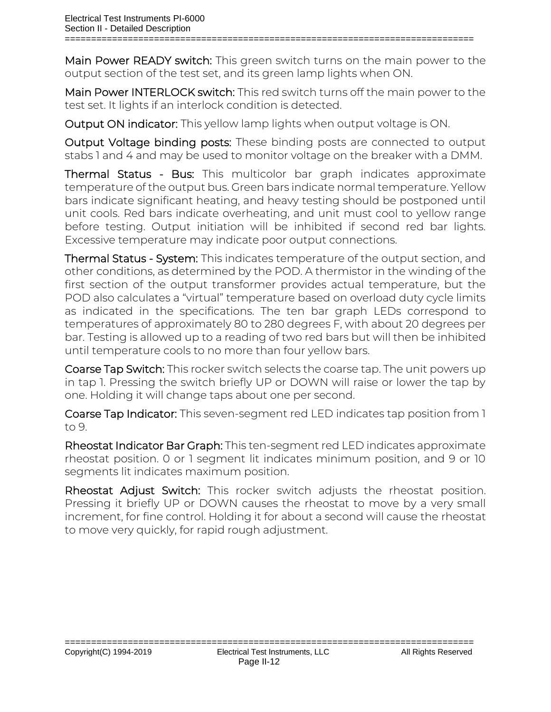Main Power READY switch: This green switch turns on the main power to the output section of the test set, and its green lamp lights when ON.

Main Power INTERLOCK switch: This red switch turns off the main power to the test set. It lights if an interlock condition is detected.

Output ON indicator: This yellow lamp lights when output voltage is ON.

Output Voltage binding posts: These binding posts are connected to output stabs 1 and 4 and may be used to monitor voltage on the breaker with a DMM.

Thermal Status - Bus: This multicolor bar graph indicates approximate temperature of the output bus. Green bars indicate normal temperature. Yellow bars indicate significant heating, and heavy testing should be postponed until unit cools. Red bars indicate overheating, and unit must cool to yellow range before testing. Output initiation will be inhibited if second red bar lights. Excessive temperature may indicate poor output connections.

Thermal Status - System: This indicates temperature of the output section, and other conditions, as determined by the POD. A thermistor in the winding of the first section of the output transformer provides actual temperature, but the POD also calculates a "virtual" temperature based on overload duty cycle limits as indicated in the specifications. The ten bar graph LEDs correspond to temperatures of approximately 80 to 280 degrees F, with about 20 degrees per bar. Testing is allowed up to a reading of two red bars but will then be inhibited until temperature cools to no more than four yellow bars.

Coarse Tap Switch: This rocker switch selects the coarse tap. The unit powers up in tap 1. Pressing the switch briefly UP or DOWN will raise or lower the tap by one. Holding it will change taps about one per second.

Coarse Tap Indicator: This seven-segment red LED indicates tap position from 1 to 9.

Rheostat Indicator Bar Graph: This ten-segment red LED indicates approximate rheostat position. 0 or 1 segment lit indicates minimum position, and 9 or 10 segments lit indicates maximum position.

Rheostat Adjust Switch: This rocker switch adjusts the rheostat position. Pressing it briefly UP or DOWN causes the rheostat to move by a very small increment, for fine control. Holding it for about a second will cause the rheostat to move very quickly, for rapid rough adjustment.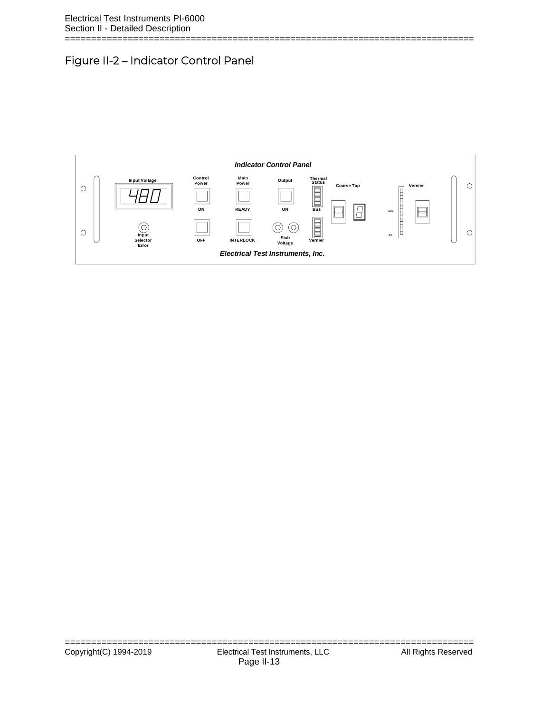# Figure II-2 – Indicator Control Panel

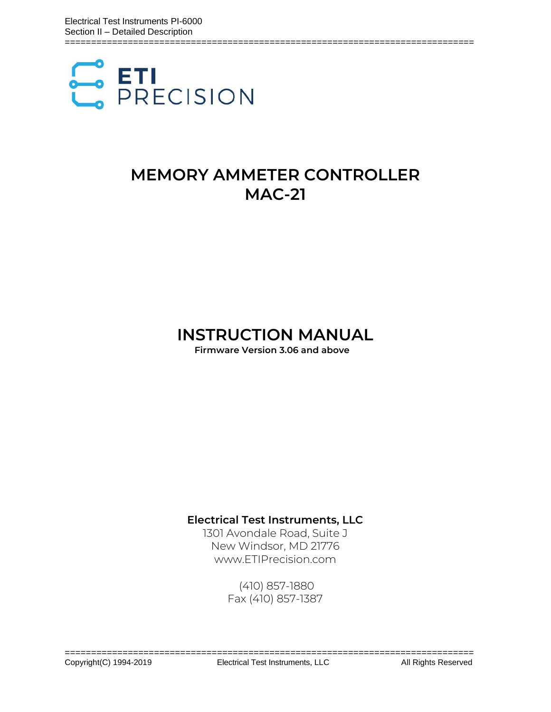

# **MEMORY AMMETER CONTROLLER MAC-21**

# **INSTRUCTION MANUAL**

**Firmware Version 3.06 and above**

**Electrical Test Instruments, LLC**

1301 Avondale Road, Suite J New Windsor, MD 21776 www.ETIPrecision.com

> (410) 857-1880 Fax (410) 857-1387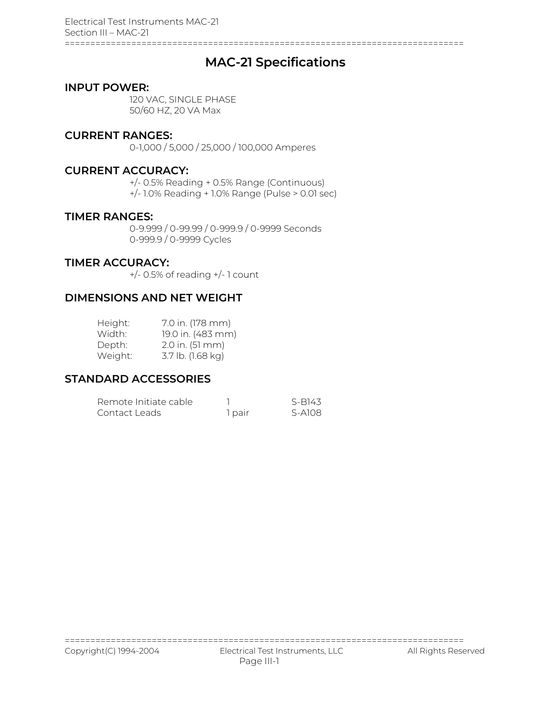# **MAC-21 Specifications**

#### **INPUT POWER:**

120 VAC, SINGLE PHASE 50/60 HZ, 20 VA Max

#### **CURRENT RANGES:**

0-1,000 / 5,000 / 25,000 / 100,000 Amperes

#### **CURRENT ACCURACY:**

+/- 0.5% Reading + 0.5% Range (Continuous) +/- 1.0% Reading + 1.0% Range (Pulse > 0.01 sec)

#### **TIMER RANGES:**

0-9.999 / 0-99.99 / 0-999.9 / 0-9999 Seconds 0-999.9 / 0-9999 Cycles

#### **TIMER ACCURACY:**

+/- 0.5% of reading +/- 1 count

#### **DIMENSIONS AND NET WEIGHT**

| Height: | 7.0 in. (178 mm)  |
|---------|-------------------|
| Width:  | 19.0 in. (483 mm) |
| Depth:  | 2.0 in. (51 mm)   |
| Weight: | 3.7 lb. (1.68 kg) |

#### **STANDARD ACCESSORIES**

| Remote Initiate cable |        | $S-RI43$ |
|-----------------------|--------|----------|
| Contact Leads         | 1 pair | S-A108   |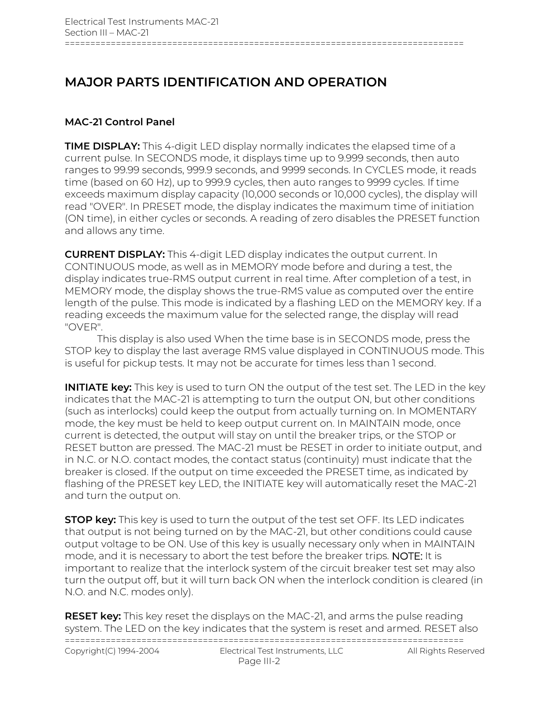# **MAJOR PARTS IDENTIFICATION AND OPERATION**

#### **MAC-21 Control Panel**

**TIME DISPLAY:** This 4-digit LED display normally indicates the elapsed time of a current pulse. In SECONDS mode, it displays time up to 9.999 seconds, then auto ranges to 99.99 seconds, 999.9 seconds, and 9999 seconds. In CYCLES mode, it reads time (based on 60 Hz), up to 999.9 cycles, then auto ranges to 9999 cycles. If time exceeds maximum display capacity (10,000 seconds or 10,000 cycles), the display will read "OVER". In PRESET mode, the display indicates the maximum time of initiation (ON time), in either cycles or seconds. A reading of zero disables the PRESET function and allows any time.

**CURRENT DISPLAY:** This 4-digit LED display indicates the output current. In CONTINUOUS mode, as well as in MEMORY mode before and during a test, the display indicates true-RMS output current in real time. After completion of a test, in MEMORY mode, the display shows the true-RMS value as computed over the entire length of the pulse. This mode is indicated by a flashing LED on the MEMORY key. If a reading exceeds the maximum value for the selected range, the display will read "OVER".

This display is also used When the time base is in SECONDS mode, press the STOP key to display the last average RMS value displayed in CONTINUOUS mode. This is useful for pickup tests. It may not be accurate for times less than 1 second.

**INITIATE key:** This key is used to turn ON the output of the test set. The LED in the key indicates that the MAC-21 is attempting to turn the output ON, but other conditions (such as interlocks) could keep the output from actually turning on. In MOMENTARY mode, the key must be held to keep output current on. In MAINTAIN mode, once current is detected, the output will stay on until the breaker trips, or the STOP or RESET button are pressed. The MAC-21 must be RESET in order to initiate output, and in N.C. or N.O. contact modes, the contact status (continuity) must indicate that the breaker is closed. If the output on time exceeded the PRESET time, as indicated by flashing of the PRESET key LED, the INITIATE key will automatically reset the MAC-21 and turn the output on.

**STOP key:** This key is used to turn the output of the test set OFF. Its LED indicates that output is not being turned on by the MAC-21, but other conditions could cause output voltage to be ON. Use of this key is usually necessary only when in MAINTAIN mode, and it is necessary to abort the test before the breaker trips. NOTE: It is important to realize that the interlock system of the circuit breaker test set may also turn the output off, but it will turn back ON when the interlock condition is cleared (in N.O. and N.C. modes only).

============================================================================== Copyright(C) 1994-2004 Electrical Test Instruments, LLC Page III-2 **RESET key:** This key reset the displays on the MAC-21, and arms the pulse reading system. The LED on the key indicates that the system is reset and armed*.* RESET also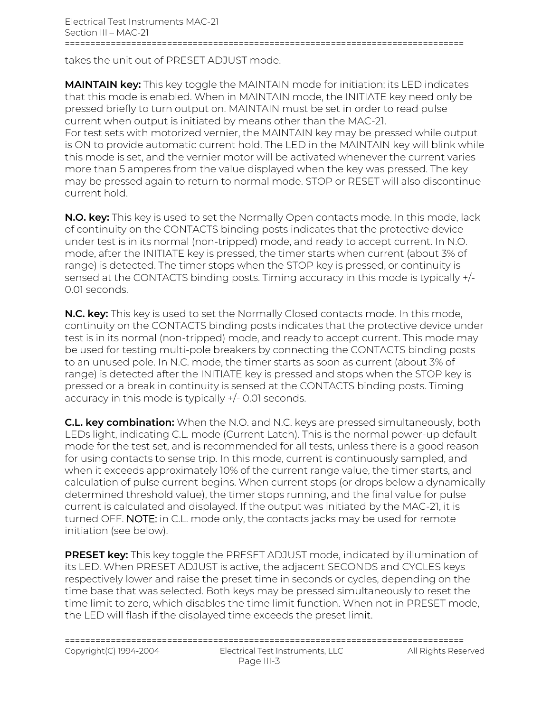takes the unit out of PRESET ADJUST mode.

**MAINTAIN key:** This key toggle the MAINTAIN mode for initiation; its LED indicates that this mode is enabled. When in MAINTAIN mode, the INITIATE key need only be pressed briefly to turn output on. MAINTAIN must be set in order to read pulse current when output is initiated by means other than the MAC-21. For test sets with motorized vernier, the MAINTAIN key may be pressed while output is ON to provide automatic current hold. The LED in the MAINTAIN key will blink while this mode is set, and the vernier motor will be activated whenever the current varies more than 5 amperes from the value displayed when the key was pressed. The key may be pressed again to return to normal mode. STOP or RESET will also discontinue current hold.

**N.O. key:** This key is used to set the Normally Open contacts mode. In this mode, lack of continuity on the CONTACTS binding posts indicates that the protective device under test is in its normal (non-tripped) mode, and ready to accept current. In N.O. mode, after the INITIATE key is pressed, the timer starts when current (about 3% of range) is detected. The timer stops when the STOP key is pressed, or continuity is sensed at the CONTACTS binding posts. Timing accuracy in this mode is typically +/- 0.01 seconds.

**N.C. key:** This key is used to set the Normally Closed contacts mode. In this mode, continuity on the CONTACTS binding posts indicates that the protective device under test is in its normal (non-tripped) mode, and ready to accept current. This mode may be used for testing multi-pole breakers by connecting the CONTACTS binding posts to an unused pole. In N.C. mode, the timer starts as soon as current (about 3% of range) is detected after the INITIATE key is pressed and stops when the STOP key is pressed or a break in continuity is sensed at the CONTACTS binding posts. Timing accuracy in this mode is typically +/- 0.01 seconds.

**C.L. key combination:** When the N.O. and N.C. keys are pressed simultaneously, both LEDs light, indicating C.L. mode (Current Latch). This is the normal power-up default mode for the test set, and is recommended for all tests, unless there is a good reason for using contacts to sense trip. In this mode, current is continuously sampled, and when it exceeds approximately 10% of the current range value, the timer starts, and calculation of pulse current begins. When current stops (or drops below a dynamically determined threshold value), the timer stops running, and the final value for pulse current is calculated and displayed. If the output was initiated by the MAC-21, it is turned OFF. NOTE: in C.L. mode only, the contacts jacks may be used for remote initiation (see below).

**PRESET key:** This key toggle the PRESET ADJUST mode, indicated by illumination of its LED. When PRESET ADJUST is active, the adjacent SECONDS and CYCLES keys respectively lower and raise the preset time in seconds or cycles, depending on the time base that was selected. Both keys may be pressed simultaneously to reset the time limit to zero, which disables the time limit function. When not in PRESET mode, the LED will flash if the displayed time exceeds the preset limit.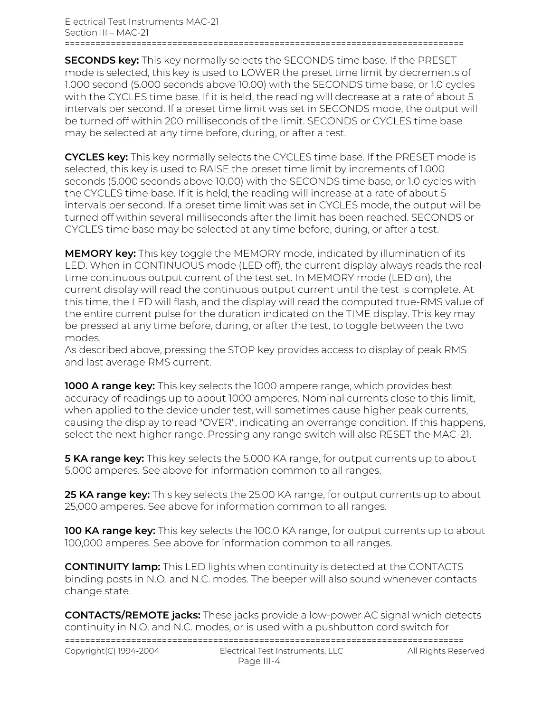**SECONDS key:** This key normally selects the SECONDS time base. If the PRESET mode is selected, this key is used to LOWER the preset time limit by decrements of 1.000 second (5.000 seconds above 10.00) with the SECONDS time base, or 1.0 cycles with the CYCLES time base. If it is held, the reading will decrease at a rate of about 5 intervals per second. If a preset time limit was set in SECONDS mode, the output will be turned off within 200 milliseconds of the limit. SECONDS or CYCLES time base may be selected at any time before, during, or after a test.

**CYCLES key:** This key normally selects the CYCLES time base. If the PRESET mode is selected, this key is used to RAISE the preset time limit by increments of 1.000 seconds (5.000 seconds above 10.00) with the SECONDS time base, or 1.0 cycles with the CYCLES time base. If it is held, the reading will increase at a rate of about 5 intervals per second. If a preset time limit was set in CYCLES mode, the output will be turned off within several milliseconds after the limit has been reached. SECONDS or CYCLES time base may be selected at any time before, during, or after a test.

**MEMORY key:** This key toggle the MEMORY mode, indicated by illumination of its LED. When in CONTINUOUS mode (LED off), the current display always reads the realtime continuous output current of the test set. In MEMORY mode (LED on), the current display will read the continuous output current until the test is complete. At this time, the LED will flash, and the display will read the computed true-RMS value of the entire current pulse for the duration indicated on the TIME display. This key may be pressed at any time before, during, or after the test, to toggle between the two modes.

As described above, pressing the STOP key provides access to display of peak RMS and last average RMS current.

**1000 A range key:** This key selects the 1000 ampere range, which provides best accuracy of readings up to about 1000 amperes. Nominal currents close to this limit, when applied to the device under test, will sometimes cause higher peak currents, causing the display to read "OVER", indicating an overrange condition. If this happens, select the next higher range. Pressing any range switch will also RESET the MAC-21.

**5 KA range key:** This key selects the 5.000 KA range, for output currents up to about 5,000 amperes. See above for information common to all ranges.

25 KA range key: This key selects the 25.00 KA range, for output currents up to about 25,000 amperes. See above for information common to all ranges.

**100 KA range key:** This key selects the 100.0 KA range, for output currents up to about 100,000 amperes. See above for information common to all ranges.

**CONTINUITY lamp:** This LED lights when continuity is detected at the CONTACTS binding posts in N.O. and N.C. modes. The beeper will also sound whenever contacts change state.

**CONTACTS/REMOTE jacks:** These jacks provide a low-power AC signal which detects continuity in N.O. and N.C. modes, or is used with a pushbutton cord switch for

==============================================================================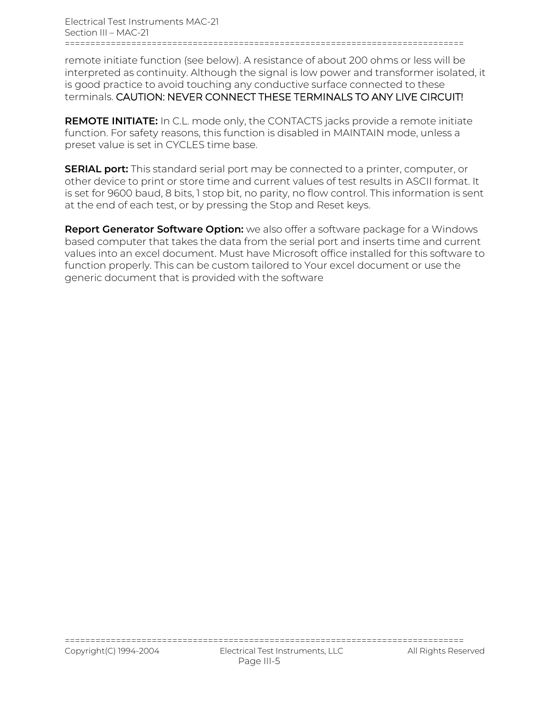remote initiate function (see below). A resistance of about 200 ohms or less will be interpreted as continuity. Although the signal is low power and transformer isolated, it is good practice to avoid touching any conductive surface connected to these terminals. CAUTION: NEVER CONNECT THESE TERMINALS TO ANY LIVE CIRCUIT!

**REMOTE INITIATE:** In C.L. mode only, the CONTACTS jacks provide a remote initiate function. For safety reasons, this function is disabled in MAINTAIN mode, unless a preset value is set in CYCLES time base.

**SERIAL port:** This standard serial port may be connected to a printer, computer, or other device to print or store time and current values of test results in ASCII format. It is set for 9600 baud, 8 bits, 1 stop bit, no parity, no flow control. This information is sent at the end of each test, or by pressing the Stop and Reset keys.

**Report Generator Software Option:** we also offer a software package for a Windows based computer that takes the data from the serial port and inserts time and current values into an excel document. Must have Microsoft office installed for this software to function properly. This can be custom tailored to Your excel document or use the generic document that is provided with the software

==============================================================================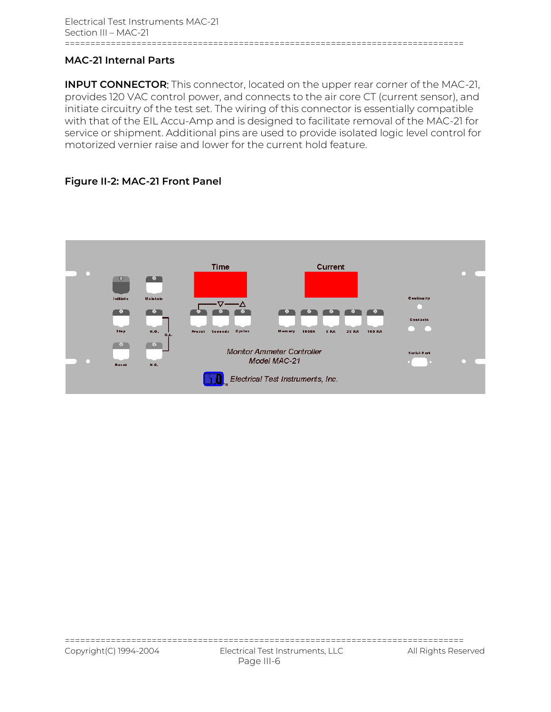#### **MAC-21 Internal Parts**

**INPUT CONNECTOR:** This connector, located on the upper rear corner of the MAC-21, provides 120 VAC control power, and connects to the air core CT (current sensor), and initiate circuitry of the test set. The wiring of this connector is essentially compatible with that of the EIL Accu-Amp and is designed to facilitate removal of the MAC-21 for service or shipment. Additional pins are used to provide isolated logic level control for motorized vernier raise and lower for the current hold feature.

# **Figure II-2: MAC-21 Front Panel**



Copyright(C) 1994-2004 Electrical Test Instruments, LLC All Rights Reserved Page III-6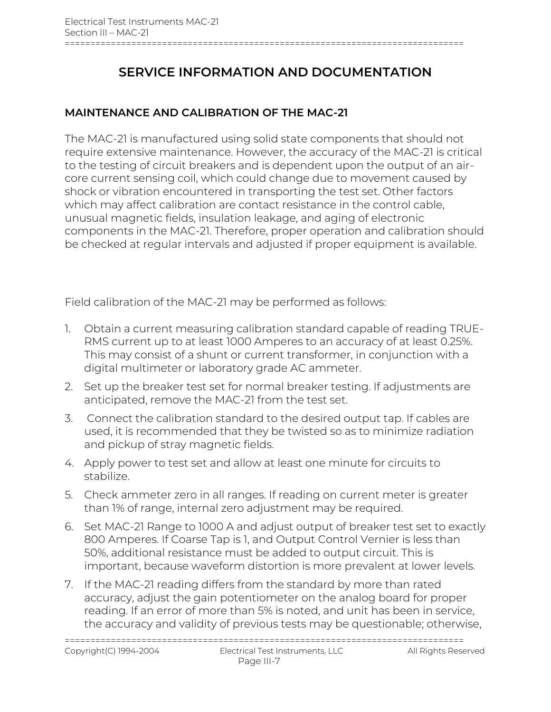# **SERVICE INFORMATION AND DOCUMENTATION**

# **MAINTENANCE AND CALIBRATION OF THE MAC-21**

The MAC-21 is manufactured using solid state components that should not require extensive maintenance. However, the accuracy of the MAC-21 is critical to the testing of circuit breakers and is dependent upon the output of an aircore current sensing coil, which could change due to movement caused by shock or vibration encountered in transporting the test set. Other factors which may affect calibration are contact resistance in the control cable, unusual magnetic fields, insulation leakage, and aging of electronic components in the MAC-21. Therefore, proper operation and calibration should be checked at regular intervals and adjusted if proper equipment is available.

Field calibration of the MAC-21 may be performed as follows:

- 1. Obtain a current measuring calibration standard capable of reading TRUE-RMS current up to at least 1000 Amperes to an accuracy of at least 0.25%. This may consist of a shunt or current transformer, in conjunction with a digital multimeter or laboratory grade AC ammeter.
- 2. Set up the breaker test set for normal breaker testing. If adjustments are anticipated, remove the MAC-21 from the test set.
- 3. Connect the calibration standard to the desired output tap. If cables are used, it is recommended that they be twisted so as to minimize radiation and pickup of stray magnetic fields.
- 4. Apply power to test set and allow at least one minute for circuits to stabilize.
- 5. Check ammeter zero in all ranges. If reading on current meter is greater than 1% of range, internal zero adjustment may be required.
- 6. Set MAC-21 Range to 1000 A and adjust output of breaker test set to exactly 800 Amperes. If Coarse Tap is 1, and Output Control Vernier is less than 50%, additional resistance must be added to output circuit. This is important, because waveform distortion is more prevalent at lower levels.
- 7. If the MAC-21 reading differs from the standard by more than rated accuracy, adjust the gain potentiometer on the analog board for proper reading. If an error of more than 5% is noted, and unit has been in service, the accuracy and validity of previous tests may be questionable; otherwise,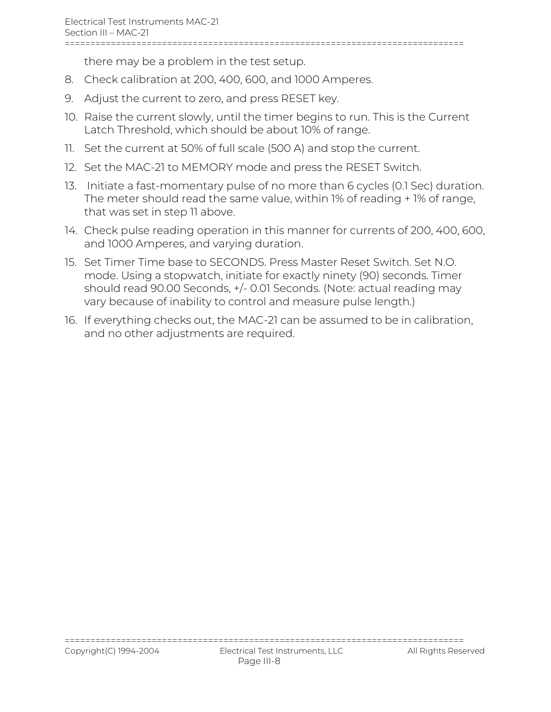there may be a problem in the test setup.

- 8. Check calibration at 200, 400, 600, and 1000 Amperes.
- 9. Adjust the current to zero, and press RESET key.
- 10. Raise the current slowly, until the timer begins to run. This is the Current Latch Threshold, which should be about 10% of range.
- 11. Set the current at 50% of full scale (500 A) and stop the current.
- 12. Set the MAC-21 to MEMORY mode and press the RESET Switch.
- 13. Initiate a fast-momentary pulse of no more than 6 cycles (0.1 Sec) duration. The meter should read the same value, within 1% of reading + 1% of range, that was set in step 11 above.
- 14. Check pulse reading operation in this manner for currents of 200, 400, 600, and 1000 Amperes, and varying duration.
- 15. Set Timer Time base to SECONDS. Press Master Reset Switch. Set N.O. mode. Using a stopwatch, initiate for exactly ninety (90) seconds. Timer should read 90.00 Seconds, +/- 0.01 Seconds. (Note: actual reading may vary because of inability to control and measure pulse length.)
- 16. If everything checks out, the MAC-21 can be assumed to be in calibration, and no other adjustments are required.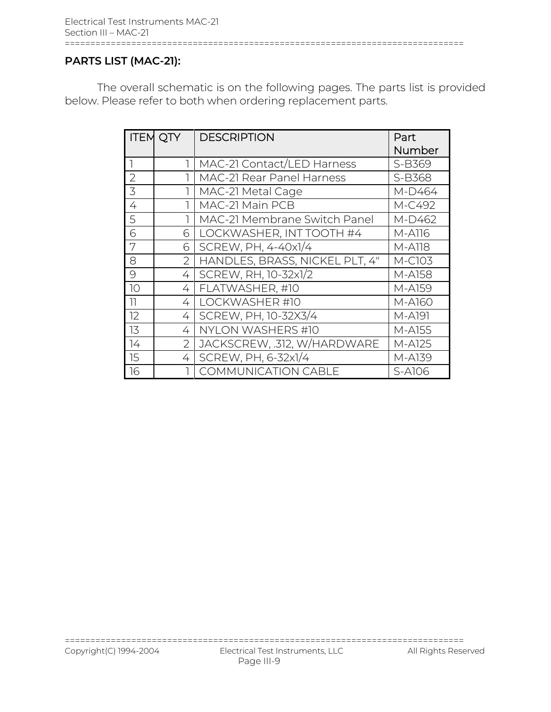#### **PARTS LIST (MAC-21):**

The overall schematic is on the following pages. The parts list is provided below. Please refer to both when ordering replacement parts.

| <b>ITEM</b>    |                | <b>DESCRIPTION</b>             | Part   |
|----------------|----------------|--------------------------------|--------|
|                |                |                                | Number |
|                |                | MAC-21 Contact/LED Harness     | S-B369 |
| $\overline{2}$ |                | MAC-21 Rear Panel Harness      | S-B368 |
| 3              |                | MAC-21 Metal Cage              | M-D464 |
| 4              |                | MAC-21 Main PCB                | M-C492 |
| 5              |                | MAC-21 Membrane Switch Panel   | M-D462 |
| 6              | 6              | LOCKWASHER, INT TOOTH #4       | M-A116 |
| 7              | 6              | SCREW, PH, 4-40x1/4            | M-A118 |
| 8              | $\overline{2}$ | HANDLES, BRASS, NICKEL PLT, 4" | M-C103 |
| 9              | 4              | SCREW, RH, 10-32x1/2           | M-A158 |
| 10             | 4              | FLATWASHER, #10                | M-A159 |
| $\overline{1}$ | 4              | LOCKWASHER #10                 | M-A160 |
| 12             | 4              | SCREW, PH, 10-32X3/4           | M-A191 |
| 13             | 4              | NYLON WASHERS #10              | M-A155 |
| 14             | $\overline{2}$ | JACKSCREW, .312, W/HARDWARE    | M-A125 |
| 15             | 4              | SCREW, PH, 6-32x1/4            | M-A139 |
| 16             |                | <b>COMMUNICATION CABLE</b>     | S-A106 |

==============================================================================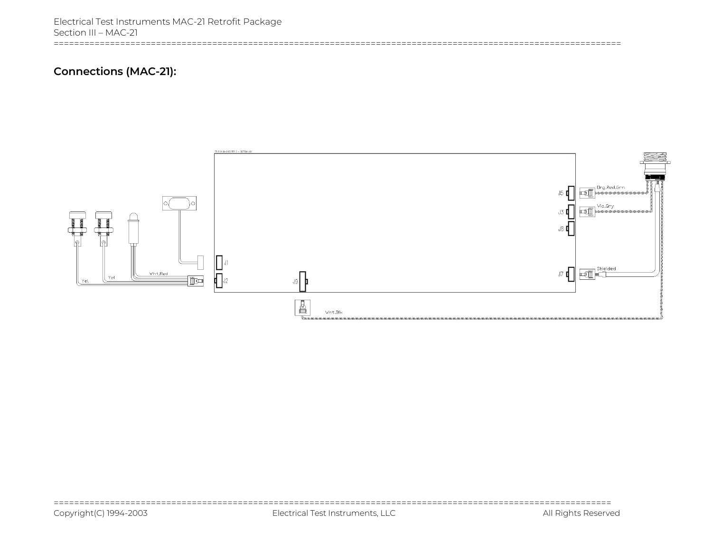# **Connections (MAC-21):**

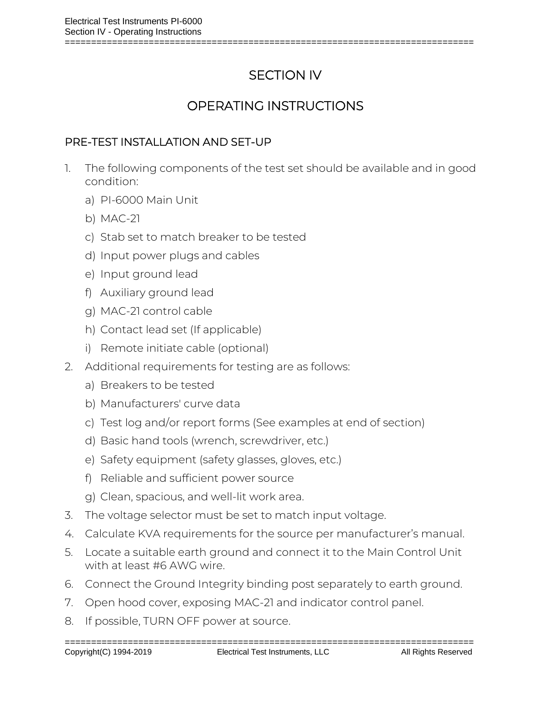# SECTION IV

# OPERATING INSTRUCTIONS

### PRE-TEST INSTALLATION AND SET-UP

- 1. The following components of the test set should be available and in good condition:
	- a) PI-6000 Main Unit
	- b) MAC-21
	- c) Stab set to match breaker to be tested
	- d) Input power plugs and cables
	- e) Input ground lead
	- f) Auxiliary ground lead
	- g) MAC-21 control cable
	- h) Contact lead set (If applicable)
	- i) Remote initiate cable (optional)
- 2. Additional requirements for testing are as follows:
	- a) Breakers to be tested
	- b) Manufacturers' curve data
	- c) Test log and/or report forms (See examples at end of section)
	- d) Basic hand tools (wrench, screwdriver, etc.)
	- e) Safety equipment (safety glasses, gloves, etc.)
	- f) Reliable and sufficient power source
	- g) Clean, spacious, and well-lit work area.
- 3. The voltage selector must be set to match input voltage.
- 4. Calculate KVA requirements for the source per manufacturer's manual.
- 5. Locate a suitable earth ground and connect it to the Main Control Unit with at least #6 AWG wire.
- 6. Connect the Ground Integrity binding post separately to earth ground.
- 7. Open hood cover, exposing MAC-21 and indicator control panel.
- 8. If possible, TURN OFF power at source.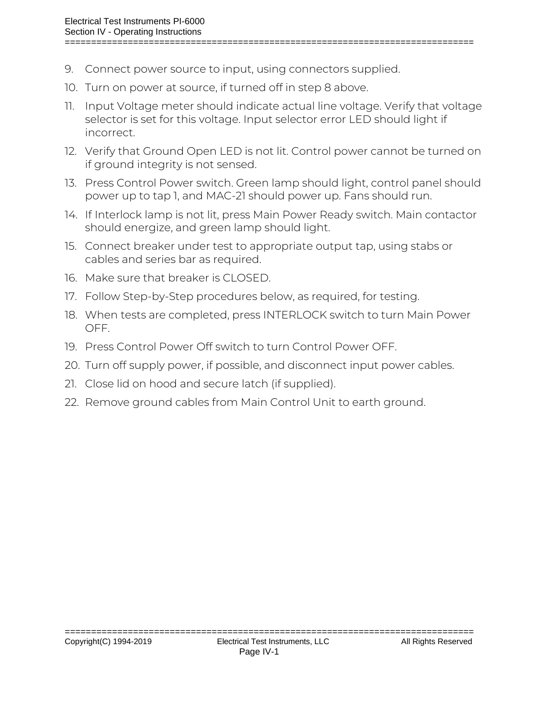- 9. Connect power source to input, using connectors supplied.
- 10. Turn on power at source, if turned off in step 8 above.
- 11. Input Voltage meter should indicate actual line voltage. Verify that voltage selector is set for this voltage. Input selector error LED should light if incorrect.
- 12. Verify that Ground Open LED is not lit. Control power cannot be turned on if ground integrity is not sensed.
- 13. Press Control Power switch. Green lamp should light, control panel should power up to tap 1, and MAC-21 should power up. Fans should run.
- 14. If Interlock lamp is not lit, press Main Power Ready switch. Main contactor should energize, and green lamp should light.
- 15. Connect breaker under test to appropriate output tap, using stabs or cables and series bar as required.
- 16. Make sure that breaker is CLOSED.
- 17. Follow Step-by-Step procedures below, as required, for testing.
- 18. When tests are completed, press INTERLOCK switch to turn Main Power OFF.
- 19. Press Control Power Off switch to turn Control Power OFF.
- 20. Turn off supply power, if possible, and disconnect input power cables.
- 21. Close lid on hood and secure latch (if supplied).
- 22. Remove ground cables from Main Control Unit to earth ground.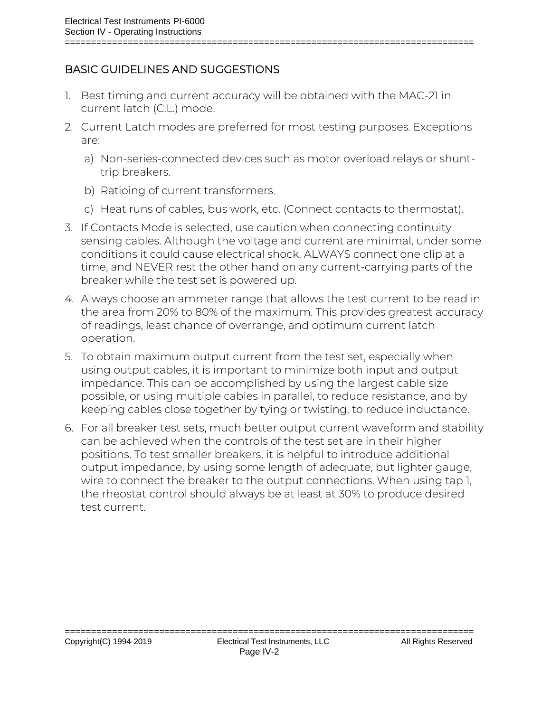# BASIC GUIDELINES AND SUGGESTIONS

- 1. Best timing and current accuracy will be obtained with the MAC-21 in current latch (C.L.) mode.
- 2. Current Latch modes are preferred for most testing purposes. Exceptions are:
	- a) Non-series-connected devices such as motor overload relays or shunttrip breakers.
	- b) Ratioing of current transformers.
	- c) Heat runs of cables, bus work, etc. (Connect contacts to thermostat).
- 3. If Contacts Mode is selected, use caution when connecting continuity sensing cables. Although the voltage and current are minimal, under some conditions it could cause electrical shock. ALWAYS connect one clip at a time, and NEVER rest the other hand on any current-carrying parts of the breaker while the test set is powered up.
- 4. Always choose an ammeter range that allows the test current to be read in the area from 20% to 80% of the maximum. This provides greatest accuracy of readings, least chance of overrange, and optimum current latch operation.
- 5. To obtain maximum output current from the test set, especially when using output cables, it is important to minimize both input and output impedance. This can be accomplished by using the largest cable size possible, or using multiple cables in parallel, to reduce resistance, and by keeping cables close together by tying or twisting, to reduce inductance.
- 6. For all breaker test sets, much better output current waveform and stability can be achieved when the controls of the test set are in their higher positions. To test smaller breakers, it is helpful to introduce additional output impedance, by using some length of adequate, but lighter gauge, wire to connect the breaker to the output connections. When using tap 1, the rheostat control should always be at least at 30% to produce desired test current.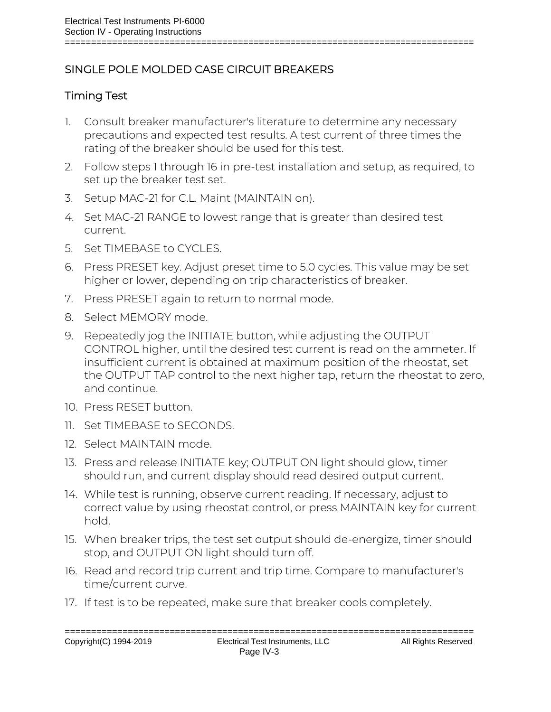# SINGLE POLE MOLDED CASE CIRCUIT BREAKERS

# Timing Test

- 1. Consult breaker manufacturer's literature to determine any necessary precautions and expected test results. A test current of three times the rating of the breaker should be used for this test.
- 2. Follow steps 1 through 16 in pre-test installation and setup, as required, to set up the breaker test set.
- 3. Setup MAC-21 for C.L. Maint (MAINTAIN on).
- 4. Set MAC-21 RANGE to lowest range that is greater than desired test current.
- 5. Set TIMEBASE to CYCLES.
- 6. Press PRESET key. Adjust preset time to 5.0 cycles. This value may be set higher or lower, depending on trip characteristics of breaker.
- 7. Press PRESET again to return to normal mode.
- 8. Select MEMORY mode.
- 9. Repeatedly jog the INITIATE button, while adjusting the OUTPUT CONTROL higher, until the desired test current is read on the ammeter. If insufficient current is obtained at maximum position of the rheostat, set the OUTPUT TAP control to the next higher tap, return the rheostat to zero, and continue.
- 10. Press RESET button.
- 11. Set TIMEBASE to SECONDS.
- 12. Select MAINTAIN mode.
- 13. Press and release INITIATE key; OUTPUT ON light should glow, timer should run, and current display should read desired output current.
- 14. While test is running, observe current reading. If necessary, adjust to correct value by using rheostat control, or press MAINTAIN key for current hold.
- 15. When breaker trips, the test set output should de-energize, timer should stop, and OUTPUT ON light should turn off.
- 16. Read and record trip current and trip time. Compare to manufacturer's time/current curve.
- 17. If test is to be repeated, make sure that breaker cools completely.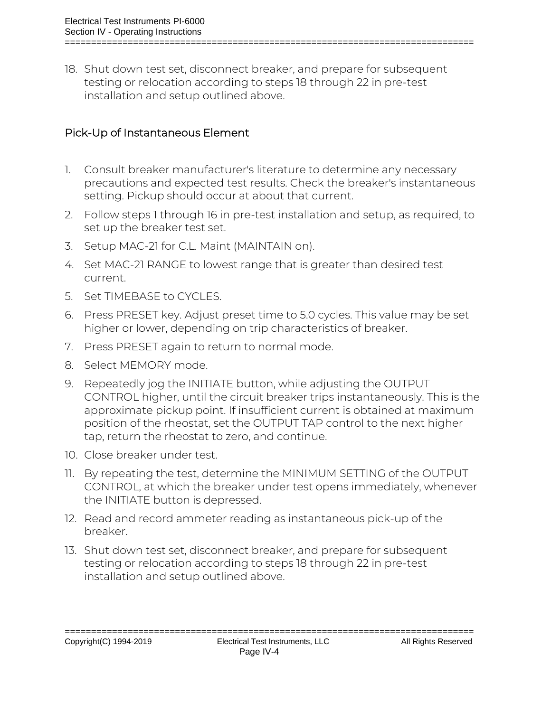18. Shut down test set, disconnect breaker, and prepare for subsequent testing or relocation according to steps 18 through 22 in pre-test installation and setup outlined above.

# Pick-Up of Instantaneous Element

- 1. Consult breaker manufacturer's literature to determine any necessary precautions and expected test results. Check the breaker's instantaneous setting. Pickup should occur at about that current.
- 2. Follow steps 1 through 16 in pre-test installation and setup, as required, to set up the breaker test set.
- 3. Setup MAC-21 for C.L. Maint (MAINTAIN on).
- 4. Set MAC-21 RANGE to lowest range that is greater than desired test current.
- 5. Set TIMEBASE to CYCLES.
- 6. Press PRESET key. Adjust preset time to 5.0 cycles. This value may be set higher or lower, depending on trip characteristics of breaker.
- 7. Press PRESET again to return to normal mode.
- 8. Select MEMORY mode.
- 9. Repeatedly jog the INITIATE button, while adjusting the OUTPUT CONTROL higher, until the circuit breaker trips instantaneously. This is the approximate pickup point. If insufficient current is obtained at maximum position of the rheostat, set the OUTPUT TAP control to the next higher tap, return the rheostat to zero, and continue.
- 10. Close breaker under test.
- 11. By repeating the test, determine the MINIMUM SETTING of the OUTPUT CONTROL, at which the breaker under test opens immediately, whenever the INITIATE button is depressed.
- 12. Read and record ammeter reading as instantaneous pick-up of the breaker.
- 13. Shut down test set, disconnect breaker, and prepare for subsequent testing or relocation according to steps 18 through 22 in pre-test installation and setup outlined above.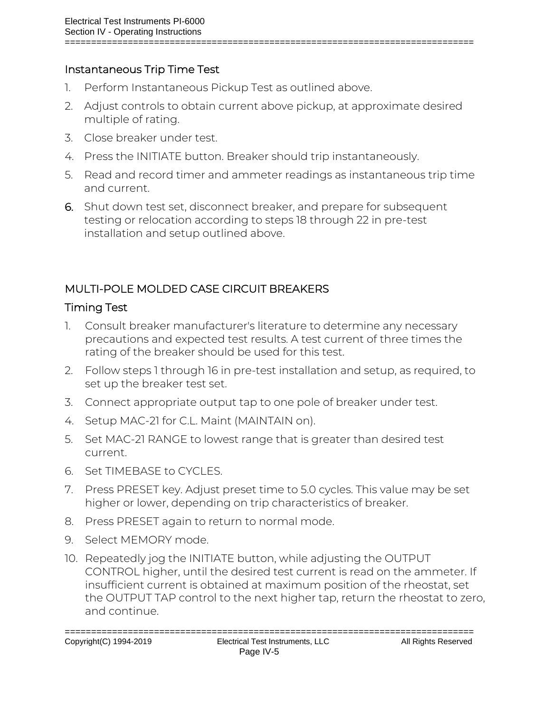# Instantaneous Trip Time Test

- 1. Perform Instantaneous Pickup Test as outlined above.
- 2. Adjust controls to obtain current above pickup, at approximate desired multiple of rating.
- 3. Close breaker under test.
- 4. Press the INITIATE button. Breaker should trip instantaneously.
- 5. Read and record timer and ammeter readings as instantaneous trip time and current.
- 6. Shut down test set, disconnect breaker, and prepare for subsequent testing or relocation according to steps 18 through 22 in pre-test installation and setup outlined above.

# MULTI-POLE MOLDED CASE CIRCUIT BREAKERS

# Timing Test

- 1. Consult breaker manufacturer's literature to determine any necessary precautions and expected test results. A test current of three times the rating of the breaker should be used for this test.
- 2. Follow steps 1 through 16 in pre-test installation and setup, as required, to set up the breaker test set.
- 3. Connect appropriate output tap to one pole of breaker under test.
- 4. Setup MAC-21 for C.L. Maint (MAINTAIN on).
- 5. Set MAC-21 RANGE to lowest range that is greater than desired test current.
- 6. Set TIMEBASE to CYCLES.
- 7. Press PRESET key. Adjust preset time to 5.0 cycles. This value may be set higher or lower, depending on trip characteristics of breaker.
- 8. Press PRESET again to return to normal mode.
- 9. Select MEMORY mode.
- 10. Repeatedly jog the INITIATE button, while adjusting the OUTPUT CONTROL higher, until the desired test current is read on the ammeter. If insufficient current is obtained at maximum position of the rheostat, set the OUTPUT TAP control to the next higher tap, return the rheostat to zero, and continue.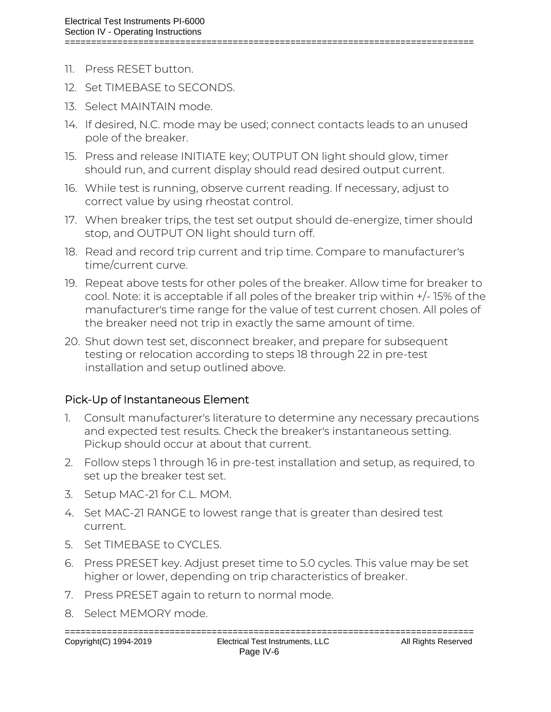- 11. Press RESET button.
- 12. Set TIMEBASE to SECONDS.
- 13. Select MAINTAIN mode.
- 14. If desired, N.C. mode may be used; connect contacts leads to an unused pole of the breaker.
- 15. Press and release INITIATE key; OUTPUT ON light should glow, timer should run, and current display should read desired output current.
- 16. While test is running, observe current reading. If necessary, adjust to correct value by using rheostat control.
- 17. When breaker trips, the test set output should de-energize, timer should stop, and OUTPUT ON light should turn off.
- 18. Read and record trip current and trip time. Compare to manufacturer's time/current curve.
- 19. Repeat above tests for other poles of the breaker. Allow time for breaker to cool. Note: it is acceptable if all poles of the breaker trip within +/- 15% of the manufacturer's time range for the value of test current chosen. All poles of the breaker need not trip in exactly the same amount of time.
- 20. Shut down test set, disconnect breaker, and prepare for subsequent testing or relocation according to steps 18 through 22 in pre-test installation and setup outlined above.

### Pick-Up of Instantaneous Element

- 1. Consult manufacturer's literature to determine any necessary precautions and expected test results. Check the breaker's instantaneous setting. Pickup should occur at about that current.
- 2. Follow steps 1 through 16 in pre-test installation and setup, as required, to set up the breaker test set.
- 3. Setup MAC-21 for C.L. MOM.
- 4. Set MAC-21 RANGE to lowest range that is greater than desired test current.
- 5. Set TIMEBASE to CYCLES.
- 6. Press PRESET key. Adjust preset time to 5.0 cycles. This value may be set higher or lower, depending on trip characteristics of breaker.
- 7. Press PRESET again to return to normal mode.
- 8. Select MEMORY mode.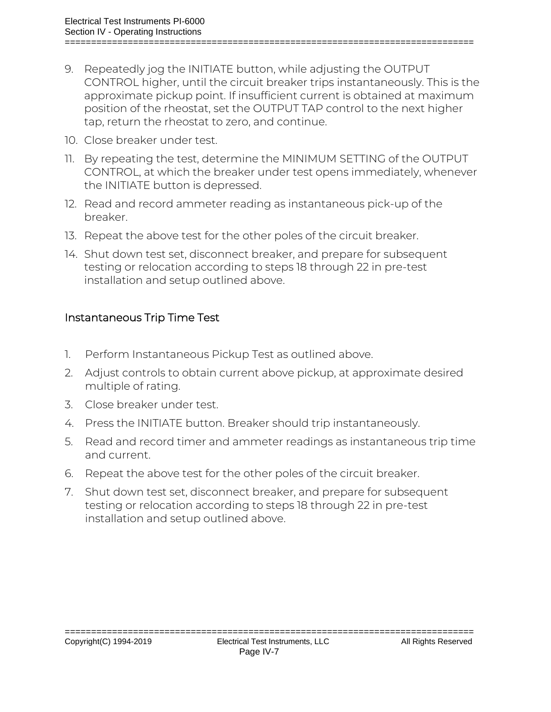- 9. Repeatedly jog the INITIATE button, while adjusting the OUTPUT CONTROL higher, until the circuit breaker trips instantaneously. This is the approximate pickup point. If insufficient current is obtained at maximum position of the rheostat, set the OUTPUT TAP control to the next higher tap, return the rheostat to zero, and continue.
- 10. Close breaker under test.
- 11. By repeating the test, determine the MINIMUM SETTING of the OUTPUT CONTROL, at which the breaker under test opens immediately, whenever the INITIATE button is depressed.
- 12. Read and record ammeter reading as instantaneous pick-up of the breaker.
- 13. Repeat the above test for the other poles of the circuit breaker.
- 14. Shut down test set, disconnect breaker, and prepare for subsequent testing or relocation according to steps 18 through 22 in pre-test installation and setup outlined above.

# Instantaneous Trip Time Test

- 1. Perform Instantaneous Pickup Test as outlined above.
- 2. Adjust controls to obtain current above pickup, at approximate desired multiple of rating.
- 3. Close breaker under test.
- 4. Press the INITIATE button. Breaker should trip instantaneously.
- 5. Read and record timer and ammeter readings as instantaneous trip time and current.
- 6. Repeat the above test for the other poles of the circuit breaker.
- 7. Shut down test set, disconnect breaker, and prepare for subsequent testing or relocation according to steps 18 through 22 in pre-test installation and setup outlined above.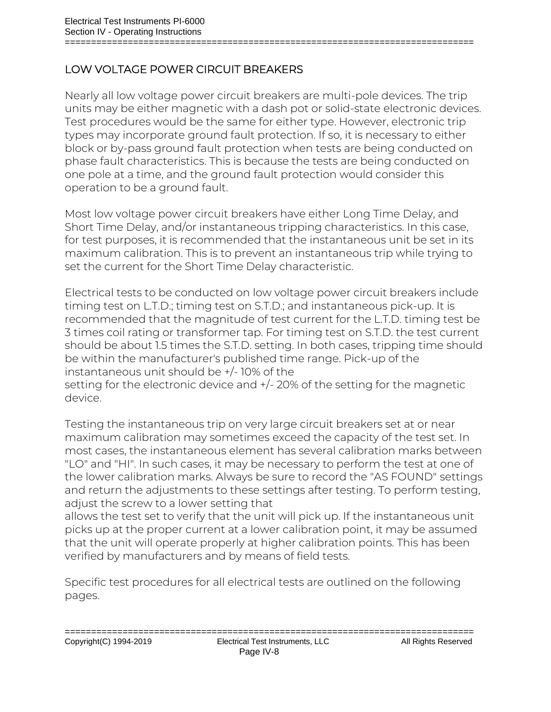# LOW VOLTAGE POWER CIRCUIT BREAKERS

Nearly all low voltage power circuit breakers are multi-pole devices. The trip units may be either magnetic with a dash pot or solid-state electronic devices. Test procedures would be the same for either type. However, electronic trip types may incorporate ground fault protection. If so, it is necessary to either block or by-pass ground fault protection when tests are being conducted on phase fault characteristics. This is because the tests are being conducted on one pole at a time, and the ground fault protection would consider this operation to be a ground fault.

Most low voltage power circuit breakers have either Long Time Delay, and Short Time Delay, and/or instantaneous tripping characteristics. In this case, for test purposes, it is recommended that the instantaneous unit be set in its maximum calibration. This is to prevent an instantaneous trip while trying to set the current for the Short Time Delay characteristic.

Electrical tests to be conducted on low voltage power circuit breakers include timing test on L.T.D.; timing test on S.T.D.; and instantaneous pick-up. It is recommended that the magnitude of test current for the L.T.D. timing test be 3 times coil rating or transformer tap. For timing test on S.T.D. the test current should be about 1.5 times the S.T.D. setting. In both cases, tripping time should be within the manufacturer's published time range. Pick-up of the instantaneous unit should be +/- 10% of the

setting for the electronic device and +/- 20% of the setting for the magnetic device.

Testing the instantaneous trip on very large circuit breakers set at or near maximum calibration may sometimes exceed the capacity of the test set. In most cases, the instantaneous element has several calibration marks between "LO" and "HI". In such cases, it may be necessary to perform the test at one of the lower calibration marks. Always be sure to record the "AS FOUND" settings and return the adjustments to these settings after testing. To perform testing, adjust the screw to a lower setting that

allows the test set to verify that the unit will pick up. If the instantaneous unit picks up at the proper current at a lower calibration point, it may be assumed that the unit will operate properly at higher calibration points. This has been verified by manufacturers and by means of field tests.

Specific test procedures for all electrical tests are outlined on the following pages.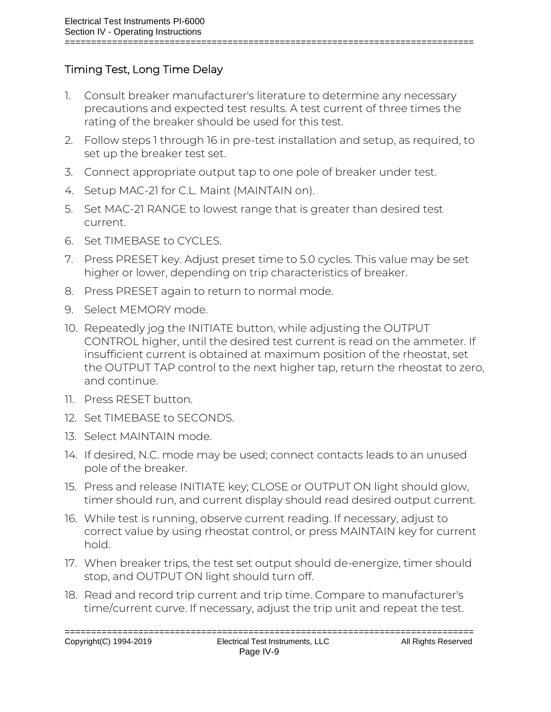# Timing Test, Long Time Delay

- 1. Consult breaker manufacturer's literature to determine any necessary precautions and expected test results. A test current of three times the rating of the breaker should be used for this test.
- 2. Follow steps 1 through 16 in pre-test installation and setup, as required, to set up the breaker test set.
- 3. Connect appropriate output tap to one pole of breaker under test.
- 4. Setup MAC-21 for C.L. Maint (MAINTAIN on).
- 5. Set MAC-21 RANGE to lowest range that is greater than desired test current.
- 6. Set TIMEBASE to CYCLES.
- 7. Press PRESET key. Adjust preset time to 5.0 cycles. This value may be set higher or lower, depending on trip characteristics of breaker.
- 8. Press PRESET again to return to normal mode.
- 9. Select MEMORY mode.
- 10. Repeatedly jog the INITIATE button, while adjusting the OUTPUT CONTROL higher, until the desired test current is read on the ammeter. If insufficient current is obtained at maximum position of the rheostat, set the OUTPUT TAP control to the next higher tap, return the rheostat to zero, and continue.
- 11. Press RESET button.
- 12. Set TIMEBASE to SECONDS.
- 13. Select MAINTAIN mode.
- 14. If desired, N.C. mode may be used; connect contacts leads to an unused pole of the breaker.
- 15. Press and release INITIATE key; CLOSE or OUTPUT ON light should glow, timer should run, and current display should read desired output current.
- 16. While test is running, observe current reading. If necessary, adjust to correct value by using rheostat control, or press MAINTAIN key for current hold.
- 17. When breaker trips, the test set output should de-energize, timer should stop, and OUTPUT ON light should turn off.
- 18. Read and record trip current and trip time. Compare to manufacturer's time/current curve. If necessary, adjust the trip unit and repeat the test.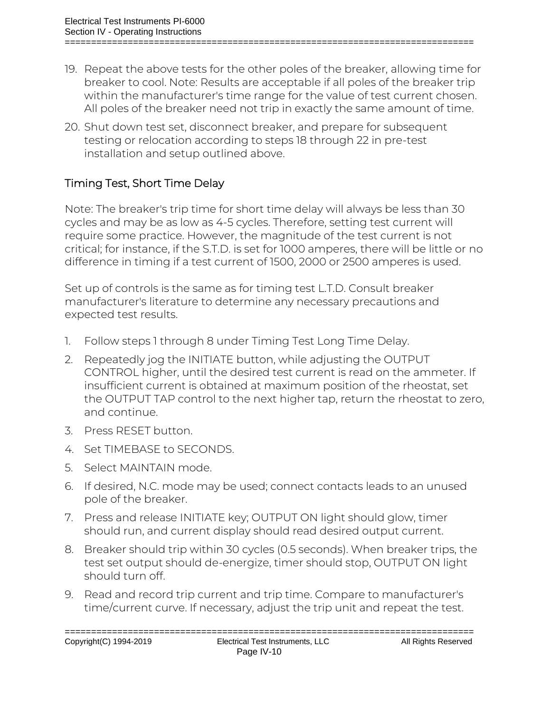- 19. Repeat the above tests for the other poles of the breaker, allowing time for breaker to cool. Note: Results are acceptable if all poles of the breaker trip within the manufacturer's time range for the value of test current chosen. All poles of the breaker need not trip in exactly the same amount of time.
- 20. Shut down test set, disconnect breaker, and prepare for subsequent testing or relocation according to steps 18 through 22 in pre-test installation and setup outlined above.

# Timing Test, Short Time Delay

Note: The breaker's trip time for short time delay will always be less than 30 cycles and may be as low as 4-5 cycles. Therefore, setting test current will require some practice. However, the magnitude of the test current is not critical; for instance, if the S.T.D. is set for 1000 amperes, there will be little or no difference in timing if a test current of 1500, 2000 or 2500 amperes is used.

Set up of controls is the same as for timing test L.T.D. Consult breaker manufacturer's literature to determine any necessary precautions and expected test results.

- 1. Follow steps 1 through 8 under Timing Test Long Time Delay.
- 2. Repeatedly jog the INITIATE button, while adjusting the OUTPUT CONTROL higher, until the desired test current is read on the ammeter. If insufficient current is obtained at maximum position of the rheostat, set the OUTPUT TAP control to the next higher tap, return the rheostat to zero, and continue.
- 3. Press RESET button.
- 4. Set TIMEBASE to SECONDS.
- 5. Select MAINTAIN mode.
- 6. If desired, N.C. mode may be used; connect contacts leads to an unused pole of the breaker.
- 7. Press and release INITIATE key; OUTPUT ON light should glow, timer should run, and current display should read desired output current.
- 8. Breaker should trip within 30 cycles (0.5 seconds). When breaker trips, the test set output should de-energize, timer should stop, OUTPUT ON light should turn off.
- 9. Read and record trip current and trip time. Compare to manufacturer's time/current curve. If necessary, adjust the trip unit and repeat the test.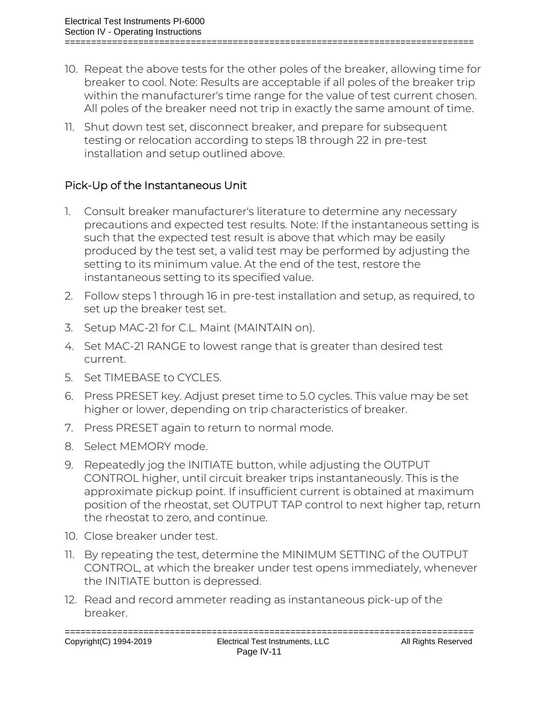- 10. Repeat the above tests for the other poles of the breaker, allowing time for breaker to cool. Note: Results are acceptable if all poles of the breaker trip within the manufacturer's time range for the value of test current chosen. All poles of the breaker need not trip in exactly the same amount of time.
- 11. Shut down test set, disconnect breaker, and prepare for subsequent testing or relocation according to steps 18 through 22 in pre-test installation and setup outlined above.

# Pick-Up of the Instantaneous Unit

- 1. Consult breaker manufacturer's literature to determine any necessary precautions and expected test results. Note: If the instantaneous setting is such that the expected test result is above that which may be easily produced by the test set, a valid test may be performed by adjusting the setting to its minimum value. At the end of the test, restore the instantaneous setting to its specified value.
- 2. Follow steps 1 through 16 in pre-test installation and setup, as required, to set up the breaker test set.
- 3. Setup MAC-21 for C.L. Maint (MAINTAIN on).
- 4. Set MAC-21 RANGE to lowest range that is greater than desired test current.
- 5. Set TIMEBASE to CYCLES.
- 6. Press PRESET key. Adjust preset time to 5.0 cycles. This value may be set higher or lower, depending on trip characteristics of breaker.
- 7. Press PRESET again to return to normal mode.
- 8. Select MEMORY mode.
- 9. Repeatedly jog the INITIATE button, while adjusting the OUTPUT CONTROL higher, until circuit breaker trips instantaneously. This is the approximate pickup point. If insufficient current is obtained at maximum position of the rheostat, set OUTPUT TAP control to next higher tap, return the rheostat to zero, and continue.
- 10. Close breaker under test.
- 11. By repeating the test, determine the MINIMUM SETTING of the OUTPUT CONTROL, at which the breaker under test opens immediately, whenever the INITIATE button is depressed.
- 12. Read and record ammeter reading as instantaneous pick-up of the breaker.

```
==============================================================================
```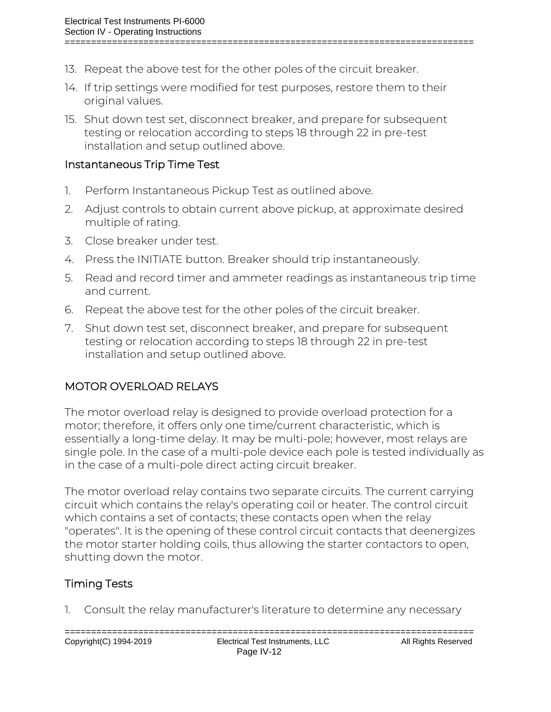- 13. Repeat the above test for the other poles of the circuit breaker.
- 14. If trip settings were modified for test purposes, restore them to their original values.
- 15. Shut down test set, disconnect breaker, and prepare for subsequent testing or relocation according to steps 18 through 22 in pre-test installation and setup outlined above.

# Instantaneous Trip Time Test

- 1. Perform Instantaneous Pickup Test as outlined above.
- 2. Adjust controls to obtain current above pickup, at approximate desired multiple of rating.
- 3. Close breaker under test.
- 4. Press the INITIATE button. Breaker should trip instantaneously.
- 5. Read and record timer and ammeter readings as instantaneous trip time and current.
- 6. Repeat the above test for the other poles of the circuit breaker.
- 7. Shut down test set, disconnect breaker, and prepare for subsequent testing or relocation according to steps 18 through 22 in pre-test installation and setup outlined above.

# MOTOR OVERLOAD RELAYS

The motor overload relay is designed to provide overload protection for a motor; therefore, it offers only one time/current characteristic, which is essentially a long-time delay. It may be multi-pole; however, most relays are single pole. In the case of a multi-pole device each pole is tested individually as in the case of a multi-pole direct acting circuit breaker.

The motor overload relay contains two separate circuits. The current carrying circuit which contains the relay's operating coil or heater. The control circuit which contains a set of contacts; these contacts open when the relay "operates". It is the opening of these control circuit contacts that deenergizes the motor starter holding coils, thus allowing the starter contactors to open, shutting down the motor.

# Timing Tests

1. Consult the relay manufacturer's literature to determine any necessary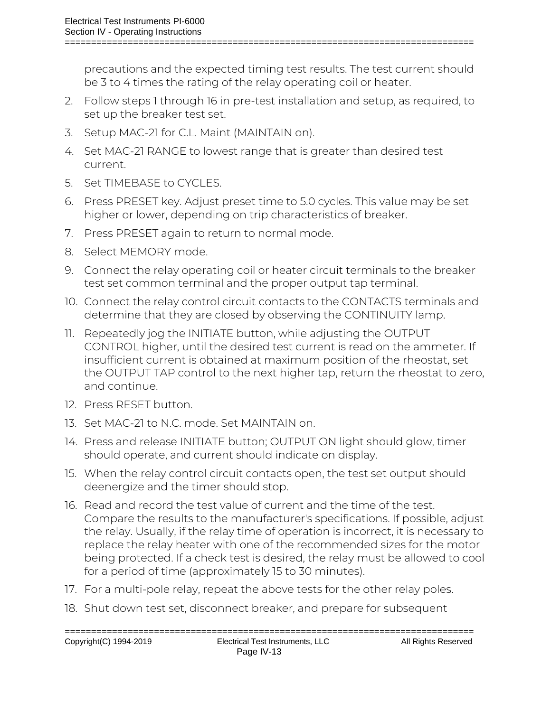precautions and the expected timing test results. The test current should be 3 to 4 times the rating of the relay operating coil or heater.

- 2. Follow steps 1 through 16 in pre-test installation and setup, as required, to set up the breaker test set.
- 3. Setup MAC-21 for C.L. Maint (MAINTAIN on).
- 4. Set MAC-21 RANGE to lowest range that is greater than desired test current.
- 5. Set TIMEBASE to CYCLES.
- 6. Press PRESET key. Adjust preset time to 5.0 cycles. This value may be set higher or lower, depending on trip characteristics of breaker.
- 7. Press PRESET again to return to normal mode.
- 8. Select MEMORY mode.
- 9. Connect the relay operating coil or heater circuit terminals to the breaker test set common terminal and the proper output tap terminal.
- 10. Connect the relay control circuit contacts to the CONTACTS terminals and determine that they are closed by observing the CONTINUITY lamp.
- 11. Repeatedly jog the INITIATE button, while adjusting the OUTPUT CONTROL higher, until the desired test current is read on the ammeter. If insufficient current is obtained at maximum position of the rheostat, set the OUTPUT TAP control to the next higher tap, return the rheostat to zero, and continue.
- 12. Press RESET button.
- 13. Set MAC-21 to N.C. mode. Set MAINTAIN on.
- 14. Press and release INITIATE button; OUTPUT ON light should glow, timer should operate, and current should indicate on display.
- 15. When the relay control circuit contacts open, the test set output should deenergize and the timer should stop.
- 16. Read and record the test value of current and the time of the test. Compare the results to the manufacturer's specifications. If possible, adjust the relay. Usually, if the relay time of operation is incorrect, it is necessary to replace the relay heater with one of the recommended sizes for the motor being protected. If a check test is desired, the relay must be allowed to cool for a period of time (approximately 15 to 30 minutes).
- 17. For a multi-pole relay, repeat the above tests for the other relay poles.
- 18. Shut down test set, disconnect breaker, and prepare for subsequent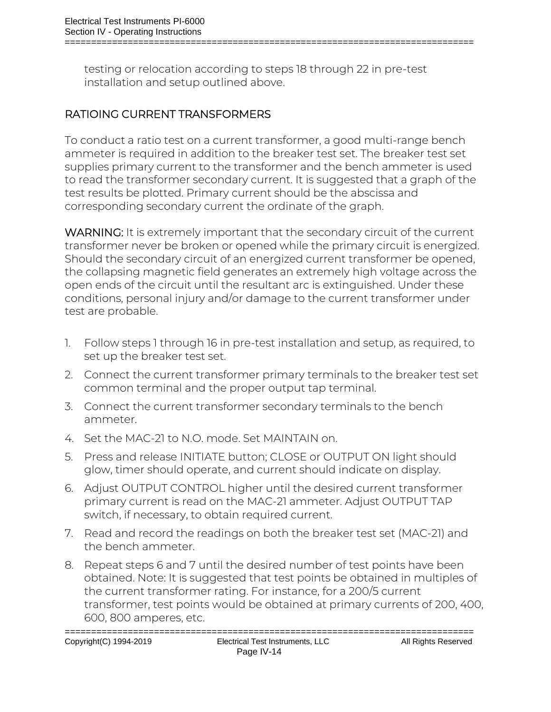testing or relocation according to steps 18 through 22 in pre-test installation and setup outlined above.

# RATIOING CURRENT TRANSFORMERS

To conduct a ratio test on a current transformer, a good multi-range bench ammeter is required in addition to the breaker test set. The breaker test set supplies primary current to the transformer and the bench ammeter is used to read the transformer secondary current. It is suggested that a graph of the test results be plotted. Primary current should be the abscissa and corresponding secondary current the ordinate of the graph.

WARNING: It is extremely important that the secondary circuit of the current transformer never be broken or opened while the primary circuit is energized. Should the secondary circuit of an energized current transformer be opened, the collapsing magnetic field generates an extremely high voltage across the open ends of the circuit until the resultant arc is extinguished. Under these conditions, personal injury and/or damage to the current transformer under test are probable.

- 1. Follow steps 1 through 16 in pre-test installation and setup, as required, to set up the breaker test set.
- 2. Connect the current transformer primary terminals to the breaker test set common terminal and the proper output tap terminal.
- 3. Connect the current transformer secondary terminals to the bench ammeter.
- 4. Set the MAC-21 to N.O. mode. Set MAINTAIN on.
- 5. Press and release INITIATE button; CLOSE or OUTPUT ON light should glow, timer should operate, and current should indicate on display.
- 6. Adjust OUTPUT CONTROL higher until the desired current transformer primary current is read on the MAC-21 ammeter. Adjust OUTPUT TAP switch, if necessary, to obtain required current.
- 7. Read and record the readings on both the breaker test set (MAC-21) and the bench ammeter.
- 8. Repeat steps 6 and 7 until the desired number of test points have been obtained. Note: It is suggested that test points be obtained in multiples of the current transformer rating. For instance, for a 200/5 current transformer, test points would be obtained at primary currents of 200, 400, 600, 800 amperes, etc.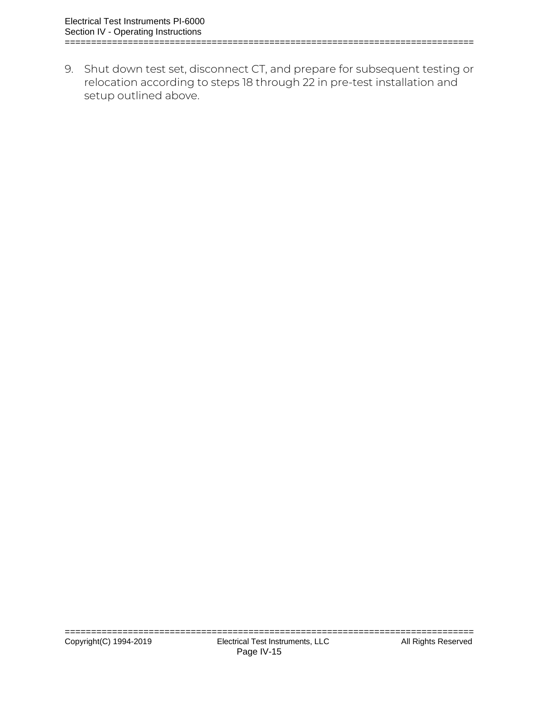9. Shut down test set, disconnect CT, and prepare for subsequent testing or relocation according to steps 18 through 22 in pre-test installation and setup outlined above.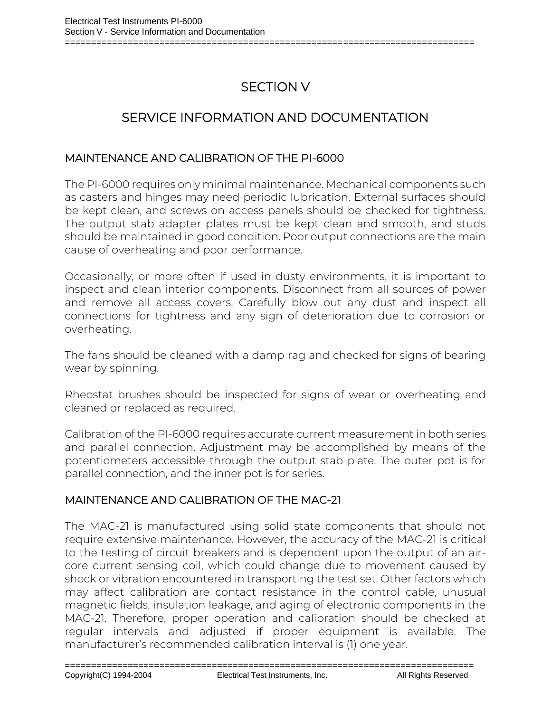# SECTION V

# SERVICE INFORMATION AND DOCUMENTATION

#### MAINTENANCE AND CALIBRATION OF THE PI-6000

The PI-6000 requires only minimal maintenance. Mechanical components such as casters and hinges may need periodic lubrication. External surfaces should be kept clean, and screws on access panels should be checked for tightness. The output stab adapter plates must be kept clean and smooth, and studs should be maintained in good condition. Poor output connections are the main cause of overheating and poor performance.

Occasionally, or more often if used in dusty environments, it is important to inspect and clean interior components. Disconnect from all sources of power and remove all access covers. Carefully blow out any dust and inspect all connections for tightness and any sign of deterioration due to corrosion or overheating.

The fans should be cleaned with a damp rag and checked for signs of bearing wear by spinning.

Rheostat brushes should be inspected for signs of wear or overheating and cleaned or replaced as required.

Calibration of the PI-6000 requires accurate current measurement in both series and parallel connection. Adjustment may be accomplished by means of the potentiometers accessible through the output stab plate. The outer pot is for parallel connection, and the inner pot is for series.

### MAINTENANCE AND CALIBRATION OF THE MAC-21

The MAC-21 is manufactured using solid state components that should not require extensive maintenance. However, the accuracy of the MAC-21 is critical to the testing of circuit breakers and is dependent upon the output of an aircore current sensing coil, which could change due to movement caused by shock or vibration encountered in transporting the test set. Other factors which may affect calibration are contact resistance in the control cable, unusual magnetic fields, insulation leakage, and aging of electronic components in the MAC-21. Therefore, proper operation and calibration should be checked at regular intervals and adjusted if proper equipment is available. The manufacturer's recommended calibration interval is (1) one year.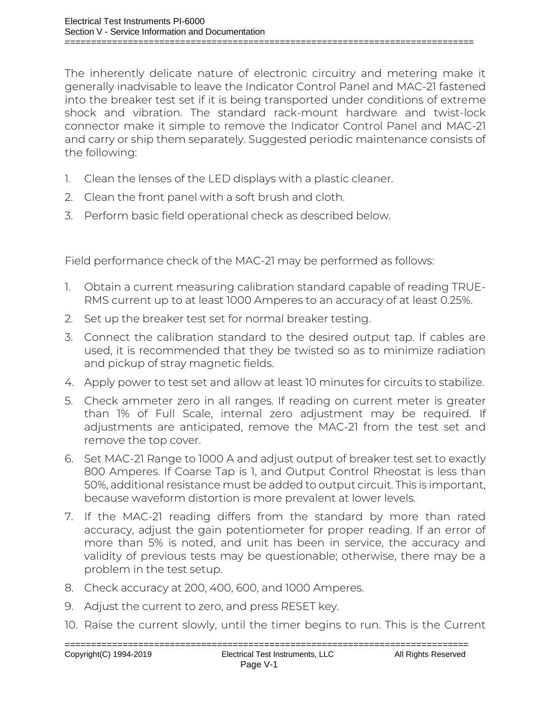The inherently delicate nature of electronic circuitry and metering make it generally inadvisable to leave the Indicator Control Panel and MAC-21 fastened into the breaker test set if it is being transported under conditions of extreme shock and vibration. The standard rack-mount hardware and twist-lock connector make it simple to remove the Indicator Control Panel and MAC-21 and carry or ship them separately. Suggested periodic maintenance consists of the following:

- 1. Clean the lenses of the LED displays with a plastic cleaner.
- 2. Clean the front panel with a soft brush and cloth.
- 3. Perform basic field operational check as described below.

Field performance check of the MAC-21 may be performed as follows:

- 1. Obtain a current measuring calibration standard capable of reading TRUE-RMS current up to at least 1000 Amperes to an accuracy of at least 0.25%.
- 2. Set up the breaker test set for normal breaker testing.
- 3. Connect the calibration standard to the desired output tap. If cables are used, it is recommended that they be twisted so as to minimize radiation and pickup of stray magnetic fields.
- 4. Apply power to test set and allow at least 10 minutes for circuits to stabilize.
- 5. Check ammeter zero in all ranges. If reading on current meter is greater than 1% of Full Scale, internal zero adjustment may be required. If adjustments are anticipated, remove the MAC-21 from the test set and remove the top cover.
- 6. Set MAC-21 Range to 1000 A and adjust output of breaker test set to exactly 800 Amperes. If Coarse Tap is 1, and Output Control Rheostat is less than 50%, additional resistance must be added to output circuit. This is important, because waveform distortion is more prevalent at lower levels.
- 7. If the MAC-21 reading differs from the standard by more than rated accuracy, adjust the gain potentiometer for proper reading. If an error of more than 5% is noted, and unit has been in service, the accuracy and validity of previous tests may be questionable; otherwise, there may be a problem in the test setup.
- 8. Check accuracy at 200, 400, 600, and 1000 Amperes.
- 9. Adjust the current to zero, and press RESET key.
- 10. Raise the current slowly, until the timer begins to run. This is the Current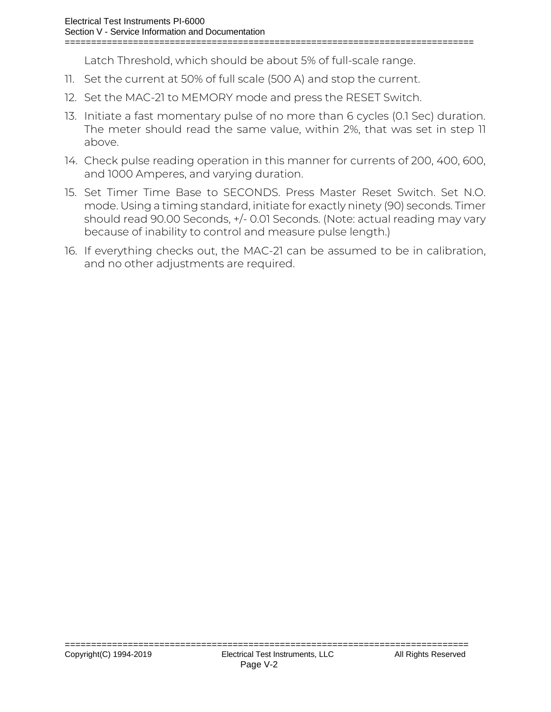Latch Threshold, which should be about 5% of full-scale range.

- 11. Set the current at 50% of full scale (500 A) and stop the current.
- 12. Set the MAC-21 to MEMORY mode and press the RESET Switch.
- 13. Initiate a fast momentary pulse of no more than 6 cycles (0.1 Sec) duration. The meter should read the same value, within 2%, that was set in step 11 above.
- 14. Check pulse reading operation in this manner for currents of 200, 400, 600, and 1000 Amperes, and varying duration.
- 15. Set Timer Time Base to SECONDS. Press Master Reset Switch. Set N.O. mode. Using a timing standard, initiate for exactly ninety (90) seconds. Timer should read 90.00 Seconds, +/- 0.01 Seconds. (Note: actual reading may vary because of inability to control and measure pulse length.)
- 16. If everything checks out, the MAC-21 can be assumed to be in calibration, and no other adjustments are required.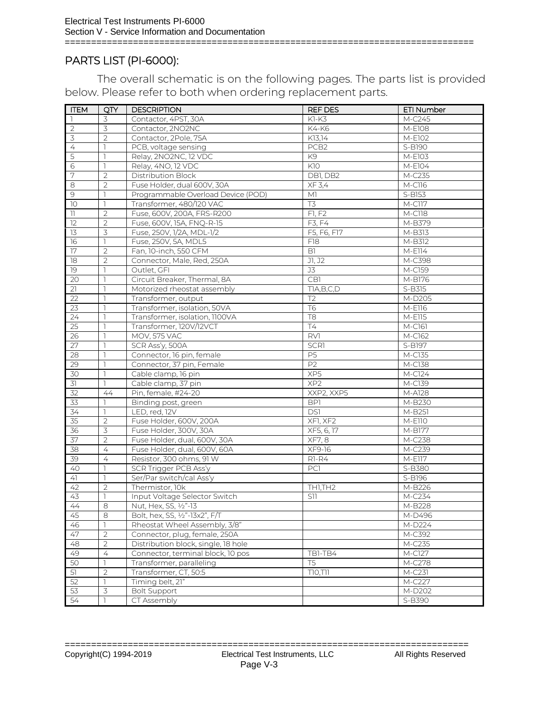# PARTS LIST (PI-6000):

The overall schematic is on the following pages. The parts list is provided below. Please refer to both when ordering replacement parts.

| <b>ITEM</b>              | QTY                      | <b>DESCRIPTION</b>                  | <b>REF DES</b>   | ETI Number |
|--------------------------|--------------------------|-------------------------------------|------------------|------------|
| ı                        | 3                        | Contactor, 4PST, 30A                | K1-K3            | M-C245     |
| $\mathbf{2}$             | $\overline{3}$           | Contactor, 2NO2NC                   | K4-K6            | M-E108     |
| 3                        | $\overline{2}$           | Contactor, 2Pole, 75A               | $K$ 13,14        | M-E102     |
| $\overline{4}$           |                          | PCB, voltage sensing                | PCB <sub>2</sub> | S-B190     |
| 5                        | $\overline{1}$           | Relay, 2NO2NC, 12 VDC               | K9               | M-E103     |
| 6                        |                          | Relay, 4NO, 12 VDC                  | KIO              | M-E104     |
| 7                        | $\overline{2}$           | Distribution Block                  | DB1, DB2         | M-C235     |
| 8                        | $\mathbf 2$              | Fuse Holder, dual 600V, 30A         | XF 3,4           | M-C116     |
| $\mathcal{G}$            | 1                        | Programmable Overload Device (POD)  | M1               | $S-B153$   |
| 10                       | $\overline{\phantom{a}}$ | Transformer, 480/120 VAC            | T3               | M-C117     |
| $\overline{\phantom{a}}$ | $\overline{2}$           | Fuse, 600V, 200A, FRS-R200          | FI, F2           | M-C118     |
| 12                       | $\mathbf{2}$             | Fuse, 600V, 15A, FNQ-R-15           | F3, F4           | M-B379     |
| 13                       | $\overline{3}$           | Fuse, 250V, 1/2A, MDL-1/2           | F5, F6, F17      | M-B313     |
| 16                       | $\overline{\phantom{a}}$ | Fuse, 250V, 5A, MDL5                | F18              | M-B312     |
| 17                       | $\overline{2}$           | Fan, 10-inch, 550 CFM               | B1               | M-E114     |
| 18                       | $\overline{c}$           | Connector, Male, Red, 250A          | J1, J2           | M-C398     |
| 19                       | $\overline{1}$           | Outlet, GFI                         | $\overline{J}3$  | M-C159     |
| 20                       | $\overline{\phantom{a}}$ | Circuit Breaker, Thermal, 8A        | CB1              | M-B176     |
| $\overline{21}$          | $\overline{1}$           | Motorized rheostat assembly         | TA, B, C, D      | $S-B315$   |
| 22                       | $\overline{1}$           | Transformer, output                 | T <sub>2</sub>   | M-D205     |
| 23                       | $\overline{1}$           | Transformer, isolation, 50VA        | <b>T6</b>        | M-E116     |
| $\overline{24}$          | $\overline{\phantom{a}}$ | Transformer, isolation, 1100VA      | T <sub>8</sub>   | M-E115     |
| 25                       | $\overline{1}$           | Transformer, 120V/12VCT             | $\overline{74}$  | M-C161     |
| 26                       | $\mathbb{I}$             | <b>MOV, 575 VAC</b>                 | <b>RV1</b>       | M-C162     |
| 27                       | $\mathbb{I}$             | SCR Ass'y, 500A                     | <b>SCR1</b>      | S-B197     |
| 28                       | $\overline{1}$           | Connector, 16 pin, female           | P <sub>5</sub>   | M-C135     |
| 29                       | $\overline{1}$           | Connector, 37 pin, Female           | P <sub>2</sub>   | M-C138     |
| 30                       | $\mathbb{I}$             | Cable clamp, 16 pin                 | XP5              | M-C124     |
| 31                       | $\overline{1}$           | Cable clamp, 37 pin                 | XP <sub>2</sub>  | M-C139     |
| 32                       | 44                       | Pin, female, #24-20                 | XXP2, XXP5       | M-A128     |
| 33                       | $\overline{1}$           | Binding post, green                 | BP1              | M-B230     |
| 34                       | $\overline{1}$           | LED, red, 12V                       | DS1              | M-B251     |
| 35                       | $\overline{2}$           | Fuse Holder, 600V, 200A             | XF1, XF2         | M-E110     |
| 36                       | $\overline{3}$           | Fuse Holder, 300V, 30A              | XF5, 6, 17       | M-B177     |
| 37                       | $\overline{c}$           | Fuse Holder, dual, 600V, 30A        | XF7, 8           | M-C238     |
| 38                       | $\overline{4}$           | Fuse Holder, dual, 600V, 60A        | XF9-16           | M-C239     |
| 39                       | $\overline{4}$           | Resistor, 300 ohms, 91 W            | $R1-R4$          | M-E117     |
| 40                       | $\overline{1}$           | SCR Trigger PCB Ass'y               | PC1              | S-B380     |
| 41                       | $\overline{\phantom{a}}$ | Ser/Par switch/cal Ass'y            |                  | S-B196     |
| 42                       | $\overline{2}$           | Thermistor, 10k                     | TH1,TH2          | M-B226     |
| 43                       | $\overline{1}$           | Input Voltage Selector Switch       | <b>S11</b>       | M-C234     |
| $44$                     | $\rm 8$                  | Nut, Hex, SS, 1/2"-13               |                  | M-B228     |
| 45                       | 8                        | Bolt, hex, SS, 1/2"-13x2", F/T      |                  | M-D496     |
| 46                       |                          | Rheostat Wheel Assembly, 3/8"       |                  | M-D224     |
| $47$                     | $\overline{2}$           | Connector, plug, female, 250A       |                  | M-C392     |
| 48                       | $\overline{2}$           | Distribution block, single, 18 hole |                  | M-C235     |
| 49                       | 4                        | Connector, terminal block, 10 pos   | TB1-TB4          | M-C127     |
| 50                       | 1                        | Transformer, paralleling            | T <sub>5</sub>   | M-C278     |
| 51                       | $\overline{2}$           | Transformer, CT, 50:5               | TIO, TII         | $M-C231$   |
| 52                       | $\overline{1}$           | Timing belt, 21"                    |                  | M-C227     |
| 53                       | $\overline{3}$           | <b>Bolt Support</b>                 |                  | M-D202     |
| 54                       | $\mathbb{I}$             | CT Assembly                         |                  | S-B390     |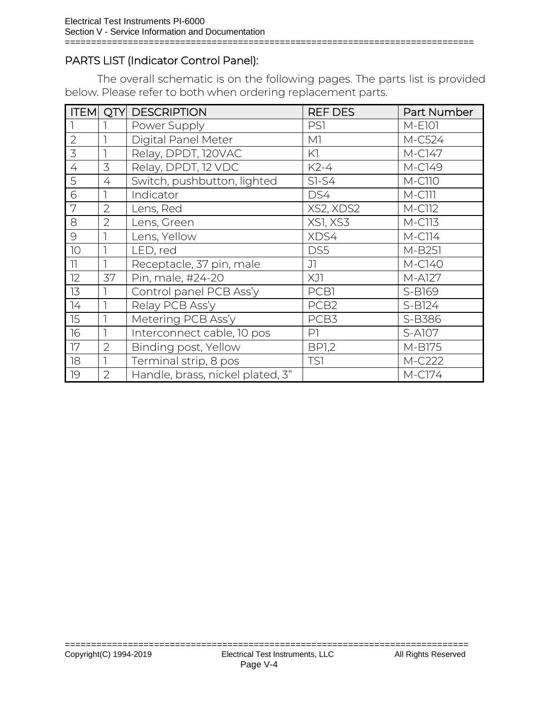# PARTS LIST (Indicator Control Panel):

The overall schematic is on the following pages. The parts list is provided below. Please refer to both when ordering replacement parts.

| <b>ITEM</b>  | <b>QTY</b>     | <b>DESCRIPTION</b>               | <b>REF DES</b>   | Part Number   |
|--------------|----------------|----------------------------------|------------------|---------------|
|              |                | Power Supply                     | PS1              | $M-E101$      |
| $\mathbf{2}$ |                | Digital Panel Meter              | M <sub>1</sub>   | M-C524        |
| 3            |                | Relay, DPDT, 120VAC              | Κl               | M-C147        |
| 4            | 3              | Relay, DPDT, 12 VDC              | $K2-4$           | M-C149        |
| 5            | 4              | Switch, pushbutton, lighted      | $S1-S4$          | <b>M-C110</b> |
| 6            |                | Indicator                        | DS4              | <b>M-C111</b> |
| 7            | $\overline{2}$ | Lens, Red                        | XS2, XDS2        | M-C112        |
| 8            | $\overline{2}$ | Lens, Green                      | XS1, XS3         | M-C113        |
| 9            |                | Lens, Yellow                     | XDS4             | $M-C114$      |
| 10           |                | LED, red                         | DS5              | M-B251        |
| 11           |                | Receptacle, 37 pin, male         | J1               | M-C140        |
| 12           | 37             | Pin, male, #24-20                | XJ1              | M-A127        |
| 13           |                | Control panel PCB Ass'y          | PCB1             | S-B169        |
| 74           |                | Relay PCB Ass'y                  | PCB <sub>2</sub> | S-B124        |
| 15           |                | Metering PCB Ass'y               | PCB3             | S-B386        |
| 16           |                | Interconnect cable, 10 pos       | P                | S-A107        |
| 17           | $\overline{2}$ | Binding post, Yellow             | <b>BP1,2</b>     | M-B175        |
| 18           |                | Terminal strip, 8 pos            | TS1              | M-C222        |
| 19           | $\overline{2}$ | Handle, brass, nickel plated, 3" |                  | M-C174        |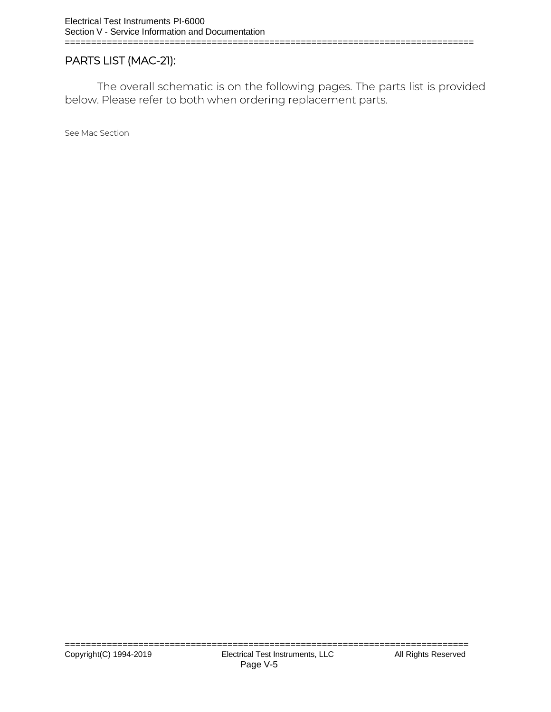### PARTS LIST (MAC-21):

The overall schematic is on the following pages. The parts list is provided below. Please refer to both when ordering replacement parts.

See Mac Section

=============================================================================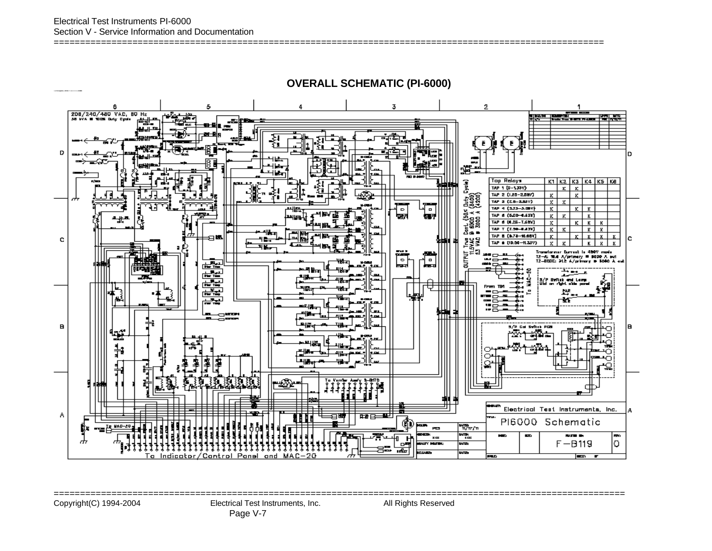

**OVERALL SCHEMATIC (PI-6000)**

=========================================================================================================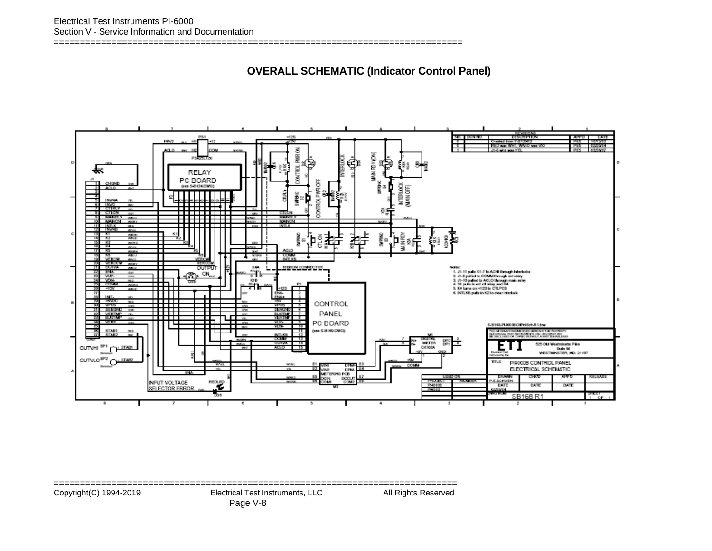**OVERALL SCHEMATIC (Indicator Control Panel)**



==============================================================================

=============================================================================